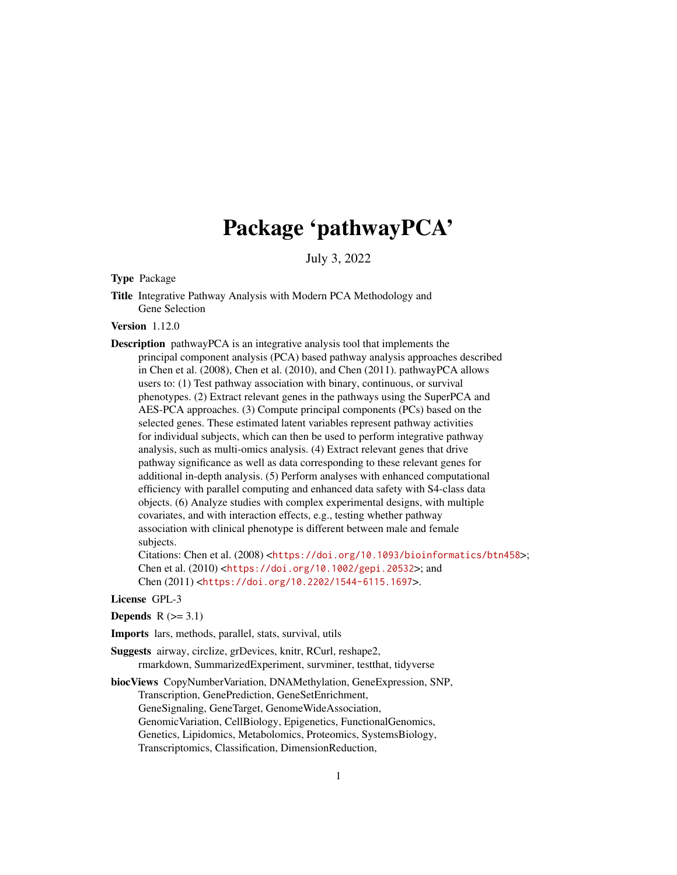## Package 'pathwayPCA'

July 3, 2022

<span id="page-0-0"></span>Type Package

Title Integrative Pathway Analysis with Modern PCA Methodology and Gene Selection

Version 1.12.0

Description pathwayPCA is an integrative analysis tool that implements the principal component analysis (PCA) based pathway analysis approaches described in Chen et al. (2008), Chen et al. (2010), and Chen (2011). pathwayPCA allows users to: (1) Test pathway association with binary, continuous, or survival phenotypes. (2) Extract relevant genes in the pathways using the SuperPCA and AES-PCA approaches. (3) Compute principal components (PCs) based on the selected genes. These estimated latent variables represent pathway activities for individual subjects, which can then be used to perform integrative pathway analysis, such as multi-omics analysis. (4) Extract relevant genes that drive pathway significance as well as data corresponding to these relevant genes for additional in-depth analysis. (5) Perform analyses with enhanced computational efficiency with parallel computing and enhanced data safety with S4-class data objects. (6) Analyze studies with complex experimental designs, with multiple covariates, and with interaction effects, e.g., testing whether pathway association with clinical phenotype is different between male and female subjects.

Citations: Chen et al. (2008) <<https://doi.org/10.1093/bioinformatics/btn458>>; Chen et al. (2010) <<https://doi.org/10.1002/gepi.20532>>; and Chen (2011) <<https://doi.org/10.2202/1544-6115.1697>>.

License GPL-3

Depends  $R$  ( $>= 3.1$ )

Imports lars, methods, parallel, stats, survival, utils

Suggests airway, circlize, grDevices, knitr, RCurl, reshape2, rmarkdown, SummarizedExperiment, survminer, testthat, tidyverse

biocViews CopyNumberVariation, DNAMethylation, GeneExpression, SNP, Transcription, GenePrediction, GeneSetEnrichment, GeneSignaling, GeneTarget, GenomeWideAssociation, GenomicVariation, CellBiology, Epigenetics, FunctionalGenomics, Genetics, Lipidomics, Metabolomics, Proteomics, SystemsBiology, Transcriptomics, Classification, DimensionReduction,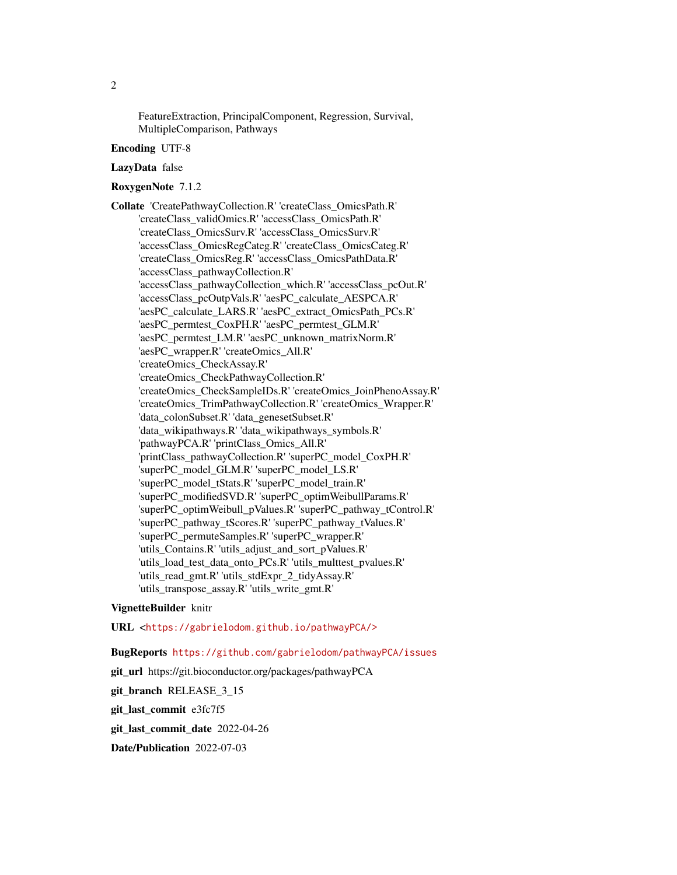FeatureExtraction, PrincipalComponent, Regression, Survival, MultipleComparison, Pathways

### Encoding UTF-8

#### LazyData false

### RoxygenNote 7.1.2

Collate 'CreatePathwayCollection.R' 'createClass\_OmicsPath.R' 'createClass\_validOmics.R' 'accessClass\_OmicsPath.R' 'createClass\_OmicsSurv.R' 'accessClass\_OmicsSurv.R' 'accessClass\_OmicsRegCateg.R' 'createClass\_OmicsCateg.R' 'createClass\_OmicsReg.R' 'accessClass\_OmicsPathData.R' 'accessClass\_pathwayCollection.R' 'accessClass\_pathwayCollection\_which.R' 'accessClass\_pcOut.R' 'accessClass\_pcOutpVals.R' 'aesPC\_calculate\_AESPCA.R' 'aesPC\_calculate\_LARS.R' 'aesPC\_extract\_OmicsPath\_PCs.R' 'aesPC\_permtest\_CoxPH.R' 'aesPC\_permtest\_GLM.R' 'aesPC\_permtest\_LM.R' 'aesPC\_unknown\_matrixNorm.R' 'aesPC\_wrapper.R' 'createOmics\_All.R' 'createOmics\_CheckAssay.R' 'createOmics\_CheckPathwayCollection.R' 'createOmics\_CheckSampleIDs.R' 'createOmics\_JoinPhenoAssay.R' 'createOmics\_TrimPathwayCollection.R' 'createOmics\_Wrapper.R' 'data\_colonSubset.R' 'data\_genesetSubset.R' 'data\_wikipathways.R' 'data\_wikipathways\_symbols.R' 'pathwayPCA.R' 'printClass\_Omics\_All.R' 'printClass\_pathwayCollection.R' 'superPC\_model\_CoxPH.R' 'superPC\_model\_GLM.R' 'superPC\_model\_LS.R' 'superPC\_model\_tStats.R' 'superPC\_model\_train.R' 'superPC\_modifiedSVD.R' 'superPC\_optimWeibullParams.R' 'superPC\_optimWeibull\_pValues.R' 'superPC\_pathway\_tControl.R' 'superPC\_pathway\_tScores.R' 'superPC\_pathway\_tValues.R' 'superPC\_permuteSamples.R' 'superPC\_wrapper.R' 'utils\_Contains.R' 'utils\_adjust\_and\_sort\_pValues.R' 'utils\_load\_test\_data\_onto\_PCs.R' 'utils\_multtest\_pvalues.R' 'utils\_read\_gmt.R' 'utils\_stdExpr\_2\_tidyAssay.R' 'utils\_transpose\_assay.R' 'utils\_write\_gmt.R'

### VignetteBuilder knitr

### URL <<https://gabrielodom.github.io/pathwayPCA/>>

### BugReports <https://github.com/gabrielodom/pathwayPCA/issues>

git\_url https://git.bioconductor.org/packages/pathwayPCA

git branch RELEASE 3 15

git\_last\_commit e3fc7f5

git last commit date 2022-04-26

Date/Publication 2022-07-03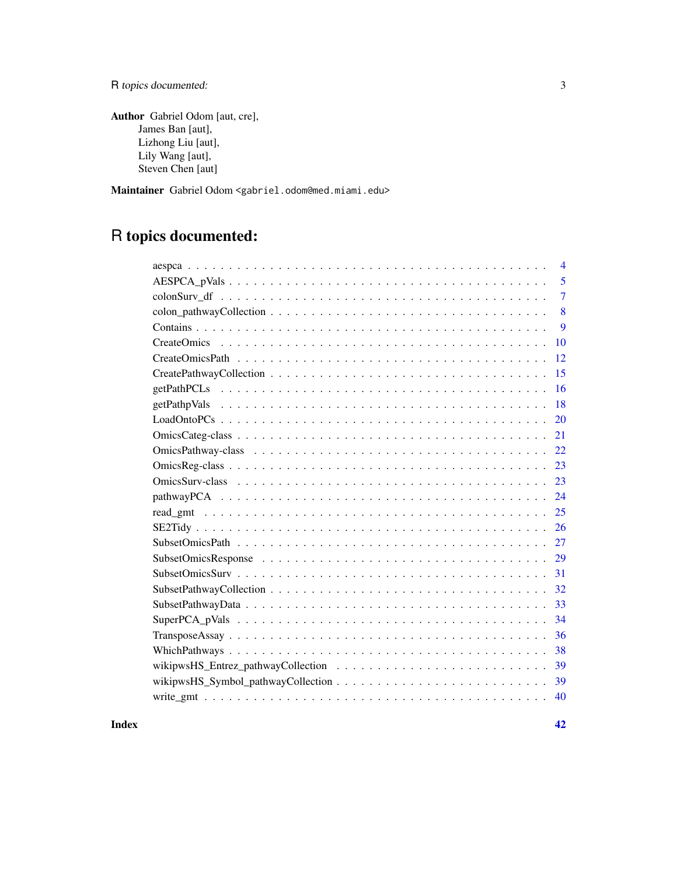R topics documented: 3

Author Gabriel Odom [aut, cre], James Ban [aut], Lizhong Liu [aut], Lily Wang [aut], Steven Chen [aut]

Maintainer Gabriel Odom <gabriel.odom@med.miami.edu>

## R topics documented:

| 4              |
|----------------|
| 5              |
| $\overline{7}$ |
| 8              |
| 9              |
| 10             |
| 12             |
| 15             |
| 16             |
| 18             |
| 20             |
| 21             |
| 22             |
| 23             |
| 23             |
| 24             |
| 25             |
| 26             |
| 27             |
| 29             |
| 31             |
| 32             |
| 33             |
| 34             |
| 36             |
| 38             |
| 39             |
| 39             |
| 40             |
|                |

#### **Index** [42](#page-41-0)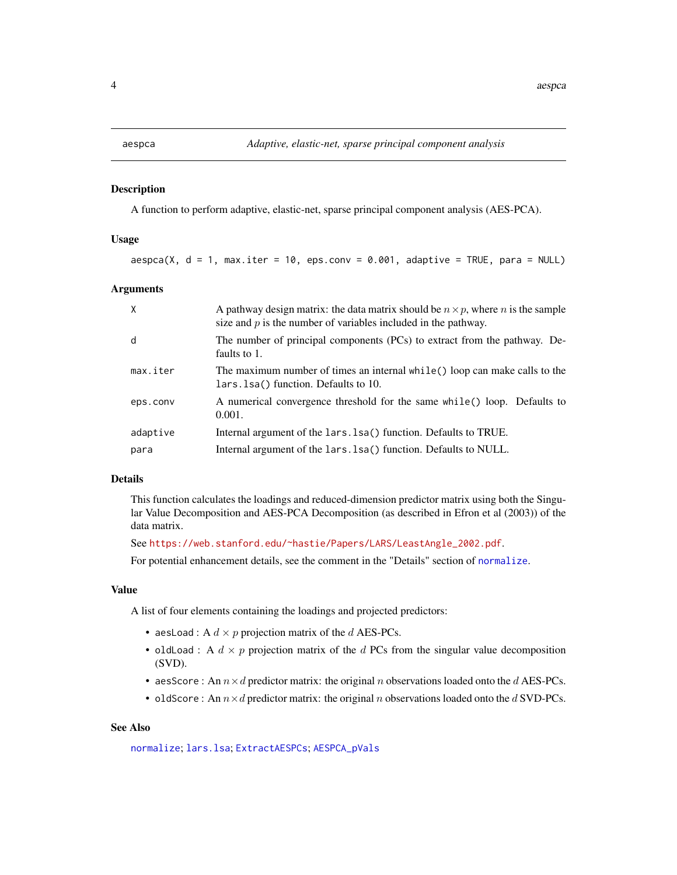#### <span id="page-3-0"></span>Description

A function to perform adaptive, elastic-net, sparse principal component analysis (AES-PCA).

#### Usage

 $a$ espca(X,  $d = 1$ , max.iter = 10, eps.conv = 0.001, adaptive = TRUE, para = NULL)

### Arguments

| X        | A pathway design matrix: the data matrix should be $n \times p$ , where n is the sample<br>size and $p$ is the number of variables included in the pathway. |
|----------|-------------------------------------------------------------------------------------------------------------------------------------------------------------|
| d        | The number of principal components (PCs) to extract from the pathway. De-<br>faults to 1.                                                                   |
| max.iter | The maximum number of times an internal while() loop can make calls to the<br>lars. 1sa() function. Defaults to 10.                                         |
| eps.conv | A numerical convergence threshold for the same while() loop. Defaults to<br>0.001.                                                                          |
| adaptive | Internal argument of the lars. Isa() function. Defaults to TRUE.                                                                                            |
| para     | Internal argument of the lars. 1sa() function. Defaults to NULL.                                                                                            |

#### Details

This function calculates the loadings and reduced-dimension predictor matrix using both the Singular Value Decomposition and AES-PCA Decomposition (as described in Efron et al (2003)) of the data matrix.

See [https://web.stanford.edu/~hastie/Papers/LARS/LeastAngle\\_2002.pdf](https://web.stanford.edu/~hastie/Papers/LARS/LeastAngle_2002.pdf).

For potential enhancement details, see the comment in the "Details" section of [normalize](#page-0-0).

### Value

A list of four elements containing the loadings and projected predictors:

- aesLoad : A  $d \times p$  projection matrix of the  $d$  AES-PCs.
- oldLoad : A  $d \times p$  projection matrix of the d PCs from the singular value decomposition (SVD).
- aesScore : An  $n \times d$  predictor matrix: the original n observations loaded onto the d AES-PCs.
- oldScore : An  $n \times d$  predictor matrix: the original  $n$  observations loaded onto the  $d$  SVD-PCs.

### See Also

[normalize](#page-0-0); [lars.lsa](#page-0-0); [ExtractAESPCs](#page-0-0); [AESPCA\\_pVals](#page-4-1)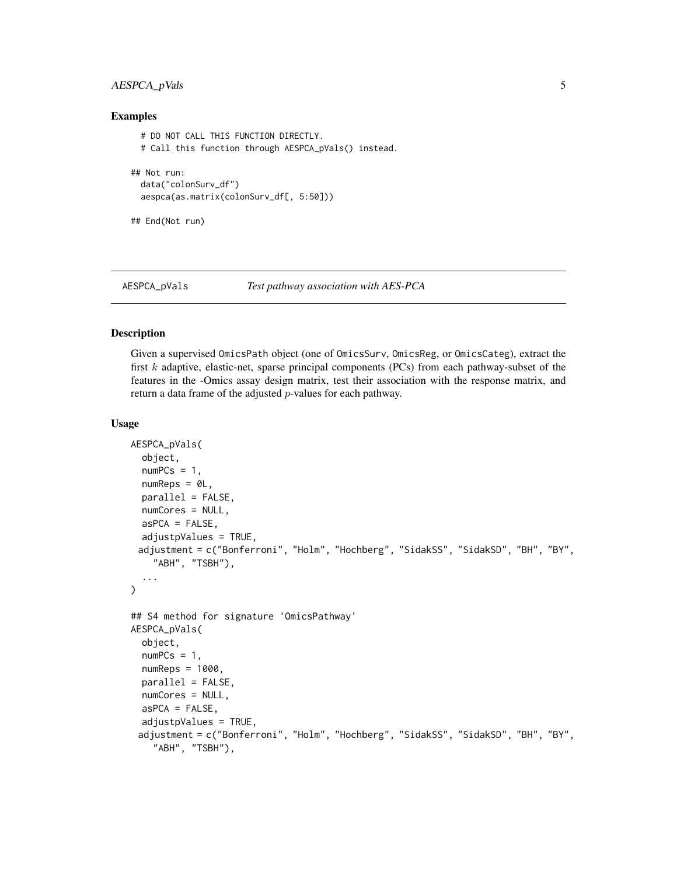### <span id="page-4-0"></span>AESPCA\_pVals 5

### Examples

```
# DO NOT CALL THIS FUNCTION DIRECTLY.
 # Call this function through AESPCA_pVals() instead.
## Not run:
 data("colonSurv_df")
 aespca(as.matrix(colonSurv_df[, 5:50]))
```
## End(Not run)

<span id="page-4-1"></span>

```
AESPCA_pVals Test pathway association with AES-PCA
```
#### Description

Given a supervised OmicsPath object (one of OmicsSurv, OmicsReg, or OmicsCateg), extract the first  $k$  adaptive, elastic-net, sparse principal components (PCs) from each pathway-subset of the features in the -Omics assay design matrix, test their association with the response matrix, and return a data frame of the adjusted p-values for each pathway.

### Usage

```
AESPCA_pVals(
  object,
  numPCs = 1,
  numReps = 0L,
  parallel = FALSE,
  numCores = NULL,
  asPCA = FALSE,
  adjustpValues = TRUE,
 adjustment = c("Bonferroni", "Holm", "Hochberg", "SidakSS", "SidakSD", "BH", "BY",
    "ABH", "TSBH"),
  ...
\mathcal{E}## S4 method for signature 'OmicsPathway'
AESPCA_pVals(
  object,
  numPCs = 1,
  numReps = 1000,parallel = FALSE,
  numCores = NULL,
  asPCA = FALSE,
  adjustpValues = TRUE,
 adjustment = c("Bonferroni", "Holm", "Hochberg", "SidakSS", "SidakSD", "BH", "BY",
    "ABH", "TSBH"),
```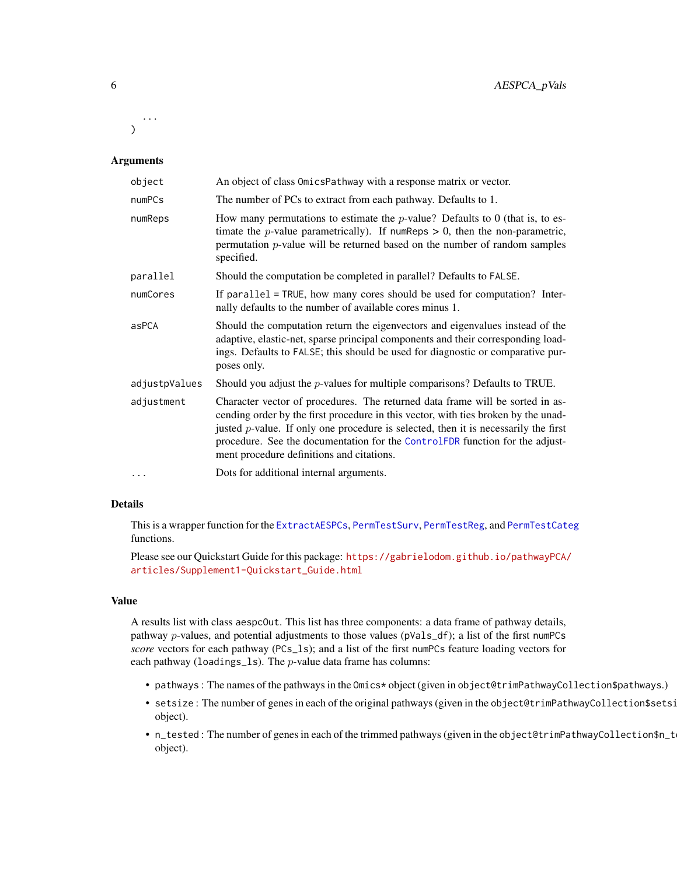<span id="page-5-0"></span>... )

### Arguments

| object        | An object of class OmicsPathway with a response matrix or vector.                                                                                                                                                                                                                                                                                                                          |
|---------------|--------------------------------------------------------------------------------------------------------------------------------------------------------------------------------------------------------------------------------------------------------------------------------------------------------------------------------------------------------------------------------------------|
| numPCs        | The number of PCs to extract from each pathway. Defaults to 1.                                                                                                                                                                                                                                                                                                                             |
| numReps       | How many permutations to estimate the $p$ -value? Defaults to 0 (that is, to es-<br>timate the <i>p</i> -value parametrically). If numReps $> 0$ , then the non-parametric,<br>permutation $p$ -value will be returned based on the number of random samples<br>specified.                                                                                                                 |
| parallel      | Should the computation be completed in parallel? Defaults to FALSE.                                                                                                                                                                                                                                                                                                                        |
| numCores      | If parallel = TRUE, how many cores should be used for computation? Inter-<br>nally defaults to the number of available cores minus 1.                                                                                                                                                                                                                                                      |
| asPCA         | Should the computation return the eigenvectors and eigenvalues instead of the<br>adaptive, elastic-net, sparse principal components and their corresponding load-<br>ings. Defaults to FALSE; this should be used for diagnostic or comparative pur-<br>poses only.                                                                                                                        |
| adjustpValues | Should you adjust the $p$ -values for multiple comparisons? Defaults to TRUE.                                                                                                                                                                                                                                                                                                              |
| adjustment    | Character vector of procedures. The returned data frame will be sorted in as-<br>cending order by the first procedure in this vector, with ties broken by the unad-<br>justed $p$ -value. If only one procedure is selected, then it is necessarily the first<br>procedure. See the documentation for the ControlFDR function for the adjust-<br>ment procedure definitions and citations. |
| $\cdots$      | Dots for additional internal arguments.                                                                                                                                                                                                                                                                                                                                                    |

### Details

This is a wrapper function for the [ExtractAESPCs](#page-0-0), [PermTestSurv](#page-0-0), [PermTestReg](#page-0-0), and [PermTestCateg](#page-0-0) functions.

Please see our Quickstart Guide for this package: [https://gabrielodom.github.io/pathwayPCA/](https://gabrielodom.github.io/pathwayPCA/articles/Supplement1-Quickstart_Guide.html) [articles/Supplement1-Quickstart\\_Guide.html](https://gabrielodom.github.io/pathwayPCA/articles/Supplement1-Quickstart_Guide.html)

### Value

A results list with class aespcOut. This list has three components: a data frame of pathway details, pathway p-values, and potential adjustments to those values (pVals\_df); a list of the first numPCs *score* vectors for each pathway (PCs\_ls); and a list of the first numPCs feature loading vectors for each pathway (loadings\_ls). The p-value data frame has columns:

- pathways : The names of the pathways in the Omics\* object (given in object@trimPathwayCollection\$pathways.)
- setsize: The number of genes in each of the original pathways (given in the object@trimPathwayCollection\$setsi object).
- n\_tested : The number of genes in each of the trimmed pathways (given in the object@trimPathwayCollection\$n\_tested object).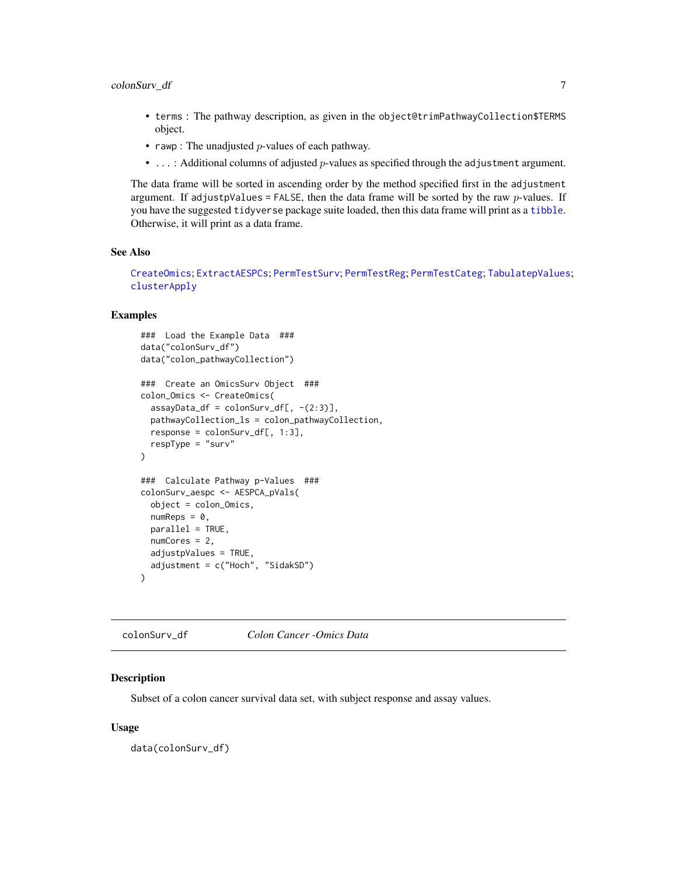- <span id="page-6-0"></span>• terms : The pathway description, as given in the object@trimPathwayCollection\$TERMS object.
- rawp : The unadjusted  $p$ -values of each pathway.
- ...: Additional columns of adjusted *p*-values as specified through the adjustment argument.

The data frame will be sorted in ascending order by the method specified first in the adjustment argument. If adjustpValues = FALSE, then the data frame will be sorted by the raw  $p$ -values. If you have the suggested tidyverse package suite loaded, then this data frame will print as a [tibble](#page-0-0). Otherwise, it will print as a data frame.

#### See Also

```
CreateOmics; ExtractAESPCs; PermTestSurv; PermTestReg; PermTestCateg; TabulatepValues;
clusterApply
```
### Examples

```
### Load the Example Data ###
data("colonSurv_df")
data("colon_pathwayCollection")
### Create an OmicsSurv Object ###
colon_Omics <- CreateOmics(
  assayData_df = colonSurv_df[, -(2:3)],pathwayCollection_ls = colon_pathwayCollection,
  response = colonSurv_df[, 1:3],
  respType = "surv"
)
### Calculate Pathway p-Values ###
colonSurv_aespc <- AESPCA_pVals(
  object = colon_Omics,
 numReps = 0,
 parallel = TRUE,
 numCores = 2,
 adjustpValues = TRUE,
  adjustment = c("Hoch", "SidakSD")
)
```
<span id="page-6-1"></span>colonSurv\_df *Colon Cancer -Omics Data*

### Description

Subset of a colon cancer survival data set, with subject response and assay values.

### Usage

data(colonSurv\_df)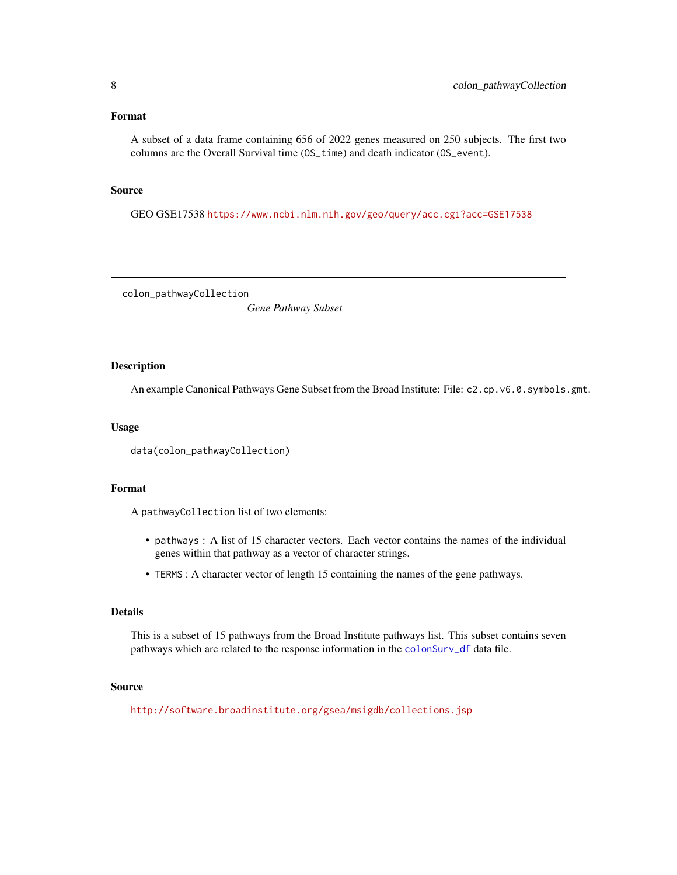#### <span id="page-7-0"></span>Format

A subset of a data frame containing 656 of 2022 genes measured on 250 subjects. The first two columns are the Overall Survival time (OS\_time) and death indicator (OS\_event).

### Source

GEO GSE17538 <https://www.ncbi.nlm.nih.gov/geo/query/acc.cgi?acc=GSE17538>

colon\_pathwayCollection

*Gene Pathway Subset*

### Description

An example Canonical Pathways Gene Subset from the Broad Institute: File: c2.cp.v6.0.symbols.gmt.

### Usage

```
data(colon_pathwayCollection)
```
### Format

A pathwayCollection list of two elements:

- pathways : A list of 15 character vectors. Each vector contains the names of the individual genes within that pathway as a vector of character strings.
- TERMS : A character vector of length 15 containing the names of the gene pathways.

#### Details

This is a subset of 15 pathways from the Broad Institute pathways list. This subset contains seven pathways which are related to the response information in the [colonSurv\\_df](#page-6-1) data file.

### Source

<http://software.broadinstitute.org/gsea/msigdb/collections.jsp>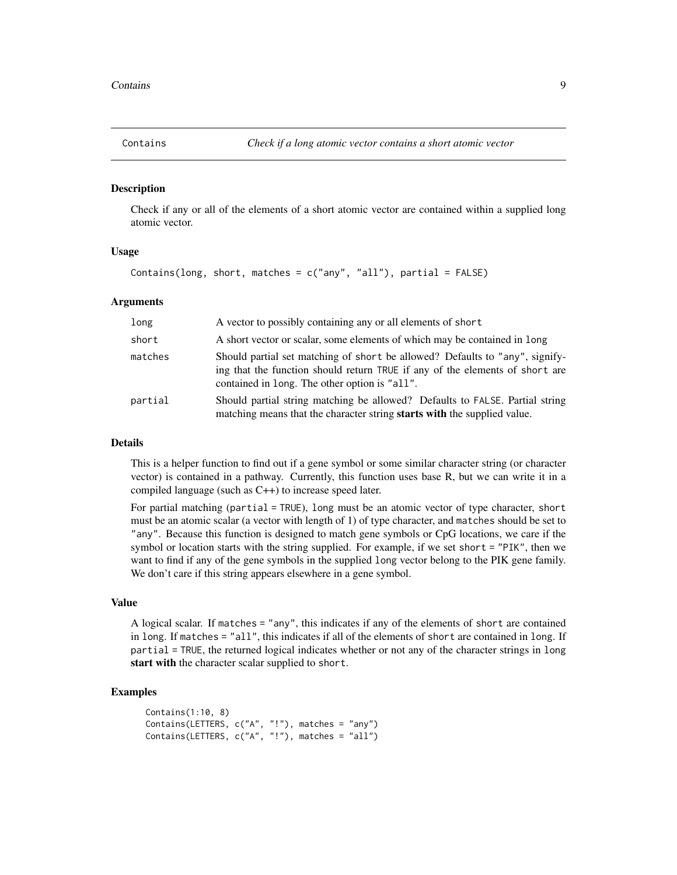<span id="page-8-1"></span><span id="page-8-0"></span>

### Description

Check if any or all of the elements of a short atomic vector are contained within a supplied long atomic vector.

### Usage

Contains(long, short, matches =  $c("any", "all"), partial = FALSE)$ 

#### **Arguments**

| long    | A vector to possibly containing any or all elements of short                                                                                                                                                  |
|---------|---------------------------------------------------------------------------------------------------------------------------------------------------------------------------------------------------------------|
| short   | A short vector or scalar, some elements of which may be contained in long                                                                                                                                     |
| matches | Should partial set matching of short be allowed? Defaults to "any", signify-<br>ing that the function should return TRUE if any of the elements of short are<br>contained in long. The other option is "all". |
| partial | Should partial string matching be allowed? Defaults to FALSE. Partial string<br>matching means that the character string starts with the supplied value.                                                      |

### Details

This is a helper function to find out if a gene symbol or some similar character string (or character vector) is contained in a pathway. Currently, this function uses base R, but we can write it in a compiled language (such as C++) to increase speed later.

For partial matching (partial = TRUE), long must be an atomic vector of type character, short must be an atomic scalar (a vector with length of 1) of type character, and matches should be set to "any". Because this function is designed to match gene symbols or CpG locations, we care if the symbol or location starts with the string supplied. For example, if we set short = "PIK", then we want to find if any of the gene symbols in the supplied long vector belong to the PIK gene family. We don't care if this string appears elsewhere in a gene symbol.

#### Value

A logical scalar. If matches = "any", this indicates if any of the elements of short are contained in long. If matches = "all", this indicates if all of the elements of short are contained in long. If partial = TRUE, the returned logical indicates whether or not any of the character strings in long start with the character scalar supplied to short.

### Examples

```
Contains(1:10, 8)
Contains(LETTERS, c("A", "!"), matches = "any")
Contains(LETTERS, c("A", "!"), matches = "all")
```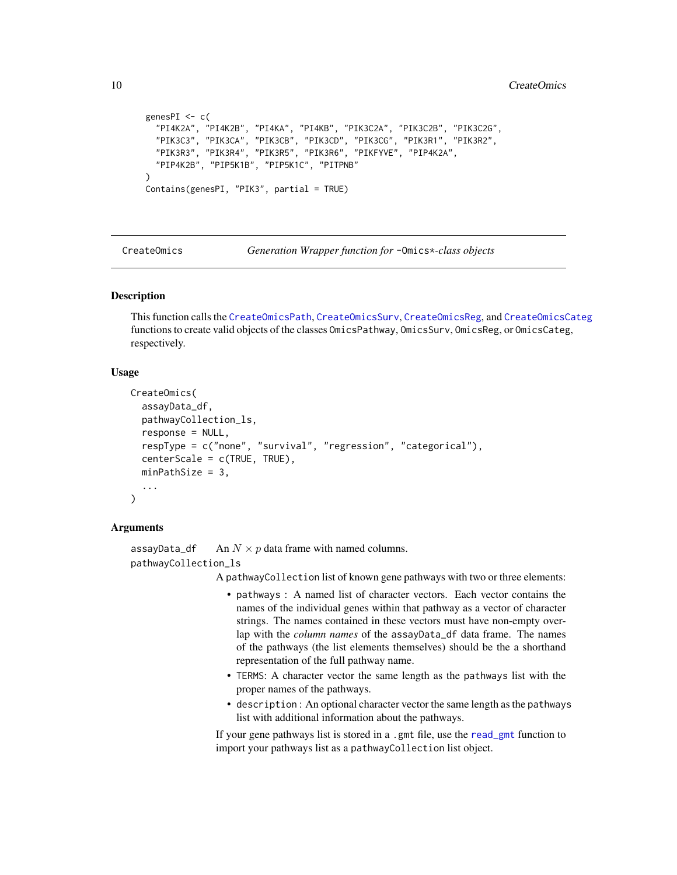```
genesPI <- c(
  "PI4K2A", "PI4K2B", "PI4KA", "PI4KB", "PIK3C2A", "PIK3C2B", "PIK3C2G",
  "PIK3C3", "PIK3CA", "PIK3CB", "PIK3CD", "PIK3CG", "PIK3R1", "PIK3R2",
  "PIK3R3", "PIK3R4", "PIK3R5", "PIK3R6", "PIKFYVE", "PIP4K2A",
  "PIP4K2B", "PIP5K1B", "PIP5K1C", "PITPNB"
\lambdaContains(genesPI, "PIK3", partial = TRUE)
```
<span id="page-9-1"></span>CreateOmics *Generation Wrapper function for* -Omics\**-class objects*

### Description

This function calls the [CreateOmicsPath](#page-11-1), [CreateOmicsSurv](#page-11-2), [CreateOmicsReg](#page-11-2), and [CreateOmicsCateg](#page-11-2) functions to create valid objects of the classes OmicsPathway, OmicsSurv, OmicsReg, or OmicsCateg, respectively.

#### Usage

```
CreateOmics(
  assayData_df,
  pathwayCollection_ls,
  response = NULL,
  respType = c("none", "survival", "regression", "categorical"),
  centerScale = c(TRUE, TRUE),
  minPathSize = 3,
  ...
)
```
#### Arguments

```
assayData_df An N \times p data frame with named columns.
pathwayCollection_ls
```
A pathwayCollection list of known gene pathways with two or three elements:

- pathways : A named list of character vectors. Each vector contains the names of the individual genes within that pathway as a vector of character strings. The names contained in these vectors must have non-empty overlap with the *column names* of the assayData\_df data frame. The names of the pathways (the list elements themselves) should be the a shorthand representation of the full pathway name.
- TERMS: A character vector the same length as the pathways list with the proper names of the pathways.
- description : An optional character vector the same length as the pathways list with additional information about the pathways.

If your gene pathways list is stored in a .gmt file, use the [read\\_gmt](#page-24-1) function to import your pathways list as a pathwayCollection list object.

<span id="page-9-0"></span>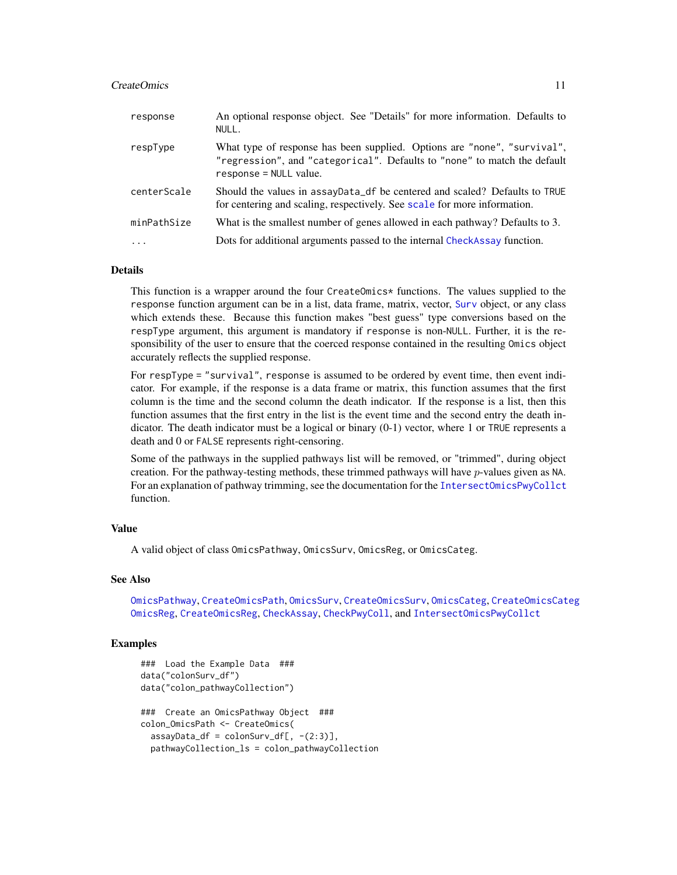#### <span id="page-10-0"></span>CreateOmics 11

| response    | An optional response object. See "Details" for more information. Defaults to<br>NULL.                                                                                            |
|-------------|----------------------------------------------------------------------------------------------------------------------------------------------------------------------------------|
| respType    | What type of response has been supplied. Options are "none", "survival",<br>"regression", and "categorical". Defaults to "none" to match the default<br>$response = NULL value.$ |
| centerScale | Should the values in assayData_df be centered and scaled? Defaults to TRUE<br>for centering and scaling, respectively. See scale for more information.                           |
| minPathSize | What is the smallest number of genes allowed in each pathway? Defaults to 3.                                                                                                     |
| .           | Dots for additional arguments passed to the internal CheckAssay function.                                                                                                        |

### Details

This function is a wrapper around the four CreateOmics\* functions. The values supplied to the response function argument can be in a list, data frame, matrix, vector, [Surv](#page-0-0) object, or any class which extends these. Because this function makes "best guess" type conversions based on the respType argument, this argument is mandatory if response is non-NULL. Further, it is the responsibility of the user to ensure that the coerced response contained in the resulting Omics object accurately reflects the supplied response.

For respType = "survival", response is assumed to be ordered by event time, then event indicator. For example, if the response is a data frame or matrix, this function assumes that the first column is the time and the second column the death indicator. If the response is a list, then this function assumes that the first entry in the list is the event time and the second entry the death indicator. The death indicator must be a logical or binary (0-1) vector, where 1 or TRUE represents a death and 0 or FALSE represents right-censoring.

Some of the pathways in the supplied pathways list will be removed, or "trimmed", during object creation. For the pathway-testing methods, these trimmed pathways will have p-values given as NA. For an explanation of pathway trimming, see the documentation for the [IntersectOmicsPwyCollct](#page-0-0) function.

### Value

A valid object of class OmicsPathway, OmicsSurv, OmicsReg, or OmicsCateg.

### See Also

[OmicsPathway](#page-21-1), [CreateOmicsPath](#page-11-1), [OmicsSurv](#page-22-1), [CreateOmicsSurv](#page-11-2), [OmicsCateg](#page-20-1), [CreateOmicsCateg](#page-11-2) [OmicsReg](#page-22-2), [CreateOmicsReg](#page-11-2), [CheckAssay](#page-0-0), [CheckPwyColl](#page-0-0), and [IntersectOmicsPwyCollct](#page-0-0)

### Examples

```
### Load the Example Data ###
data("colonSurv_df")
data("colon_pathwayCollection")
### Create an OmicsPathway Object ###
colon_OmicsPath <- CreateOmics(
  assayData_df = colonSurv_df[, -(2:3)],pathwayCollection_ls = colon_pathwayCollection
```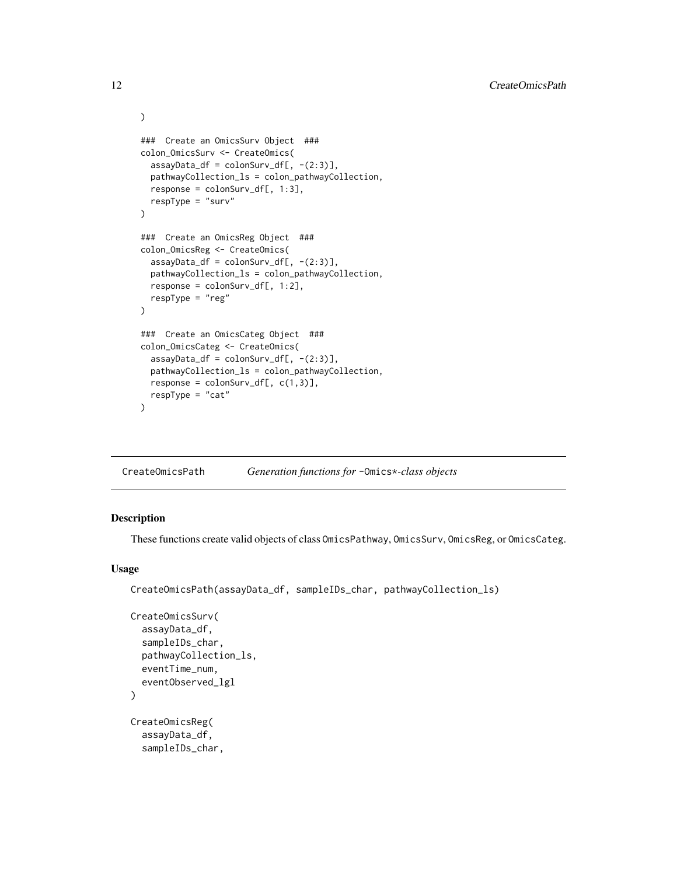```
### Create an OmicsSurv Object ###
colon_OmicsSurv <- CreateOmics(
 assayData_df = colonSurv_df[, -(2:3)],pathwayCollection_ls = colon_pathwayCollection,
 response = colonSurv_df[, 1:3],respType = "surv"
\lambda### Create an OmicsReg Object ###
colon_OmicsReg <- CreateOmics(
  assayData_df = colonSurv_df[, -(2:3)],pathwayCollection_ls = colon_pathwayCollection,
 response = colonSurv_df[, 1:2],
 respType = "reg"
)
### Create an OmicsCateg Object ###
colon_OmicsCateg <- CreateOmics(
  assayData_df = colonSurv_df[, -(2:3)],pathwayCollection_ls = colon_pathwayCollection,
 response = colonSurv_dff, c(1,3)],respType = "cat"
\lambda
```
<span id="page-11-1"></span>

### <span id="page-11-2"></span>Description

These functions create valid objects of class OmicsPathway, OmicsSurv, OmicsReg, or OmicsCateg.

### Usage

```
CreateOmicsPath(assayData_df, sampleIDs_char, pathwayCollection_ls)
```

```
CreateOmicsSurv(
  assayData_df,
  sampleIDs_char,
  pathwayCollection_ls,
  eventTime_num,
  eventObserved_lgl
\lambdaCreateOmicsReg(
  assayData_df,
  sampleIDs_char,
```
<span id="page-11-0"></span>

)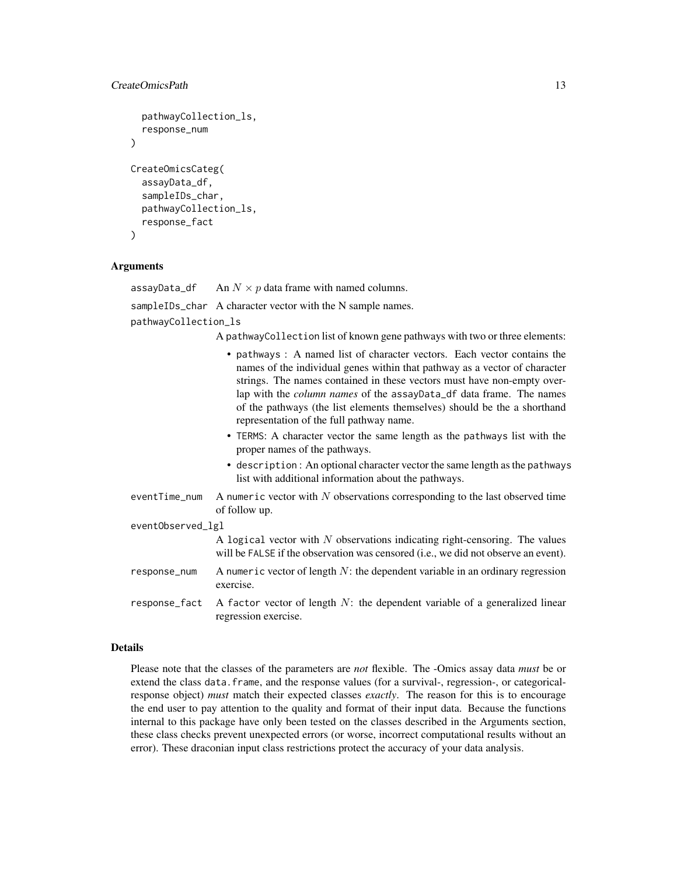### CreateOmicsPath 13

```
pathwayCollection_ls,
  response_num
)
CreateOmicsCateg(
  assayData_df,
  sampleIDs_char,
  pathwayCollection_ls,
  response_fact
)
```
### Arguments

assayData\_df An  $N \times p$  data frame with named columns.

sampleIDs\_char A character vector with the N sample names.

regression exercise.

pathwayCollection\_ls

A pathwayCollection list of known gene pathways with two or three elements:

• pathways : A named list of character vectors. Each vector contains the names of the individual genes within that pathway as a vector of character strings. The names contained in these vectors must have non-empty overlap with the *column names* of the assayData\_df data frame. The names of the pathways (the list elements themselves) should be the a shorthand representation of the full pathway name. • TERMS: A character vector the same length as the pathways list with the proper names of the pathways. • description : An optional character vector the same length as the pathways list with additional information about the pathways. eventTime\_num A numeric vector with  $N$  observations corresponding to the last observed time of follow up. eventObserved\_lgl A logical vector with  $N$  observations indicating right-censoring. The values will be FALSE if the observation was censored (i.e., we did not observe an event). response\_num A numeric vector of length  $N$ : the dependent variable in an ordinary regression exercise. response\_fact A factor vector of length  $N$ : the dependent variable of a generalized linear

#### Details

Please note that the classes of the parameters are *not* flexible. The -Omics assay data *must* be or extend the class data.frame, and the response values (for a survival-, regression-, or categoricalresponse object) *must* match their expected classes *exactly*. The reason for this is to encourage the end user to pay attention to the quality and format of their input data. Because the functions internal to this package have only been tested on the classes described in the Arguments section, these class checks prevent unexpected errors (or worse, incorrect computational results without an error). These draconian input class restrictions protect the accuracy of your data analysis.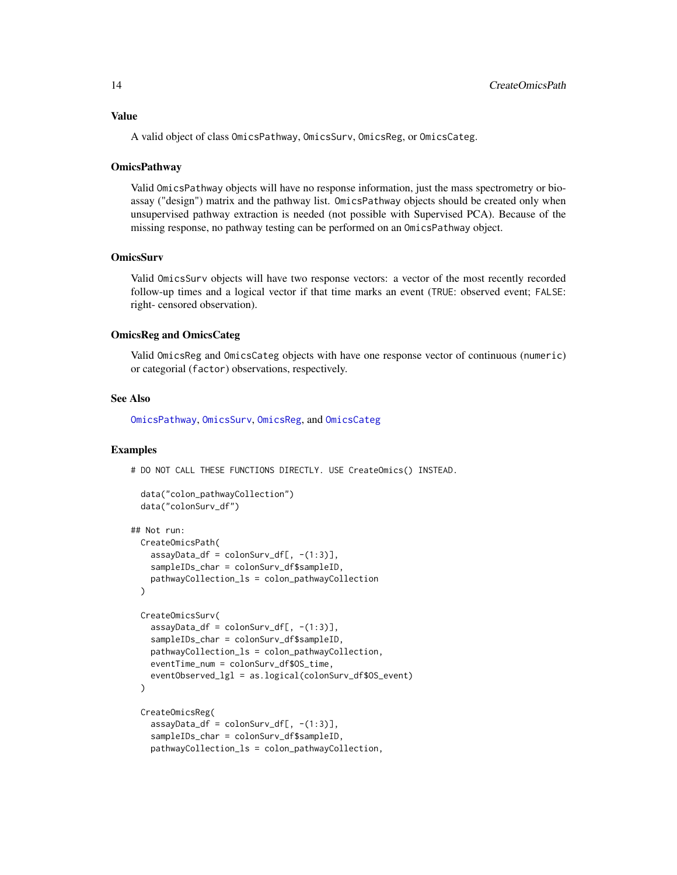<span id="page-13-0"></span>A valid object of class OmicsPathway, OmicsSurv, OmicsReg, or OmicsCateg.

### **OmicsPathway**

Valid OmicsPathway objects will have no response information, just the mass spectrometry or bioassay ("design") matrix and the pathway list. OmicsPathway objects should be created only when unsupervised pathway extraction is needed (not possible with Supervised PCA). Because of the missing response, no pathway testing can be performed on an OmicsPathway object.

### **OmicsSurv**

Valid OmicsSurv objects will have two response vectors: a vector of the most recently recorded follow-up times and a logical vector if that time marks an event (TRUE: observed event; FALSE: right- censored observation).

### OmicsReg and OmicsCateg

Valid OmicsReg and OmicsCateg objects with have one response vector of continuous (numeric) or categorial (factor) observations, respectively.

### See Also

[OmicsPathway](#page-21-1), [OmicsSurv](#page-22-1), [OmicsReg](#page-22-2), and [OmicsCateg](#page-20-1)

#### Examples

# DO NOT CALL THESE FUNCTIONS DIRECTLY. USE CreateOmics() INSTEAD.

```
data("colon_pathwayCollection")
data("colonSurv_df")
```

```
## Not run:
 CreateOmicsPath(
   assayData_d f = colonSurv_d f[, -(1:3)],sampleIDs_char = colonSurv_df$sampleID,
   pathwayCollection_ls = colon_pathwayCollection
 )
 CreateOmicsSurv(
   assayData_df = colonSurv_df[, -(1:3)],sampleIDs_char = colonSurv_df$sampleID,
   pathwayCollection_ls = colon_pathwayCollection,
   eventTime_num = colonSurv_df$OS_time,
   eventObserved_lgl = as.logical(colonSurv_df$OS_event)
 )
 CreateOmicsReg(
   assayData_df = colonSurv_df[, -(1:3)],sampleIDs_char = colonSurv_df$sampleID,
```
pathwayCollection\_ls = colon\_pathwayCollection,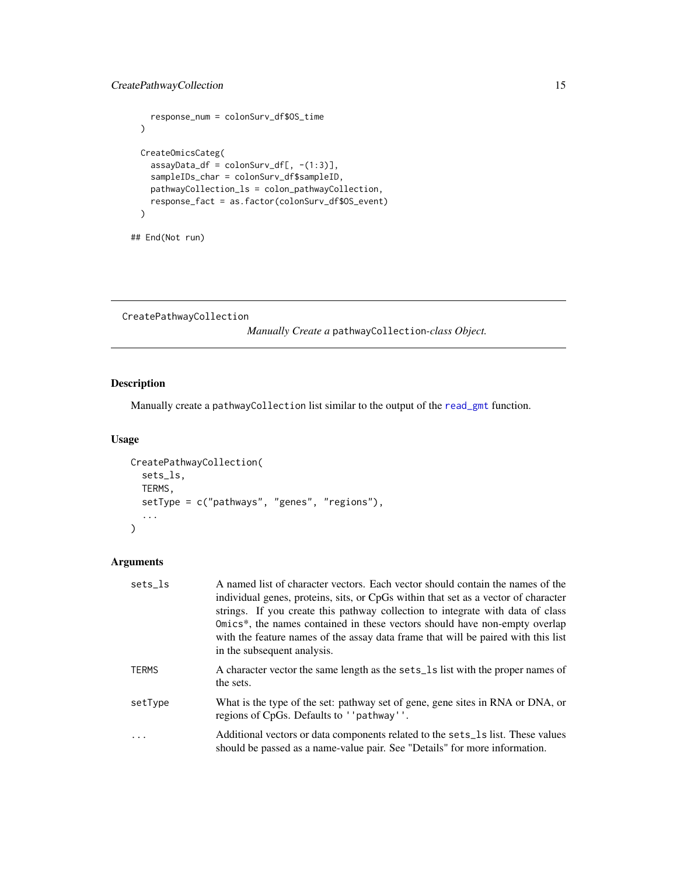```
response_num = colonSurv_df$OS_time
\mathcal{L}CreateOmicsCateg(
 assayData_df = colonSurv_df[, -(1:3)],sampleIDs_char = colonSurv_df$sampleID,
 pathwayCollection_ls = colon_pathwayCollection,
 response_fact = as.factor(colonSurv_df$OS_event)
\lambda
```

```
## End(Not run)
```
<span id="page-14-1"></span>CreatePathwayCollection

*Manually Create a* pathwayCollection*-class Object.*

## Description

Manually create a pathwayCollection list similar to the output of the [read\\_gmt](#page-24-1) function.

### Usage

```
CreatePathwayCollection(
  sets_ls,
  TERMS,
  setType = c("pathways", "genes", "regions"),
  ...
\mathcal{L}
```
### Arguments

| sets ls  | A named list of character vectors. Each vector should contain the names of the<br>individual genes, proteins, sits, or CpGs within that set as a vector of character<br>strings. If you create this pathway collection to integrate with data of class<br>Omics <sup>*</sup> , the names contained in these vectors should have non-empty overlap<br>with the feature names of the assay data frame that will be paired with this list<br>in the subsequent analysis. |
|----------|-----------------------------------------------------------------------------------------------------------------------------------------------------------------------------------------------------------------------------------------------------------------------------------------------------------------------------------------------------------------------------------------------------------------------------------------------------------------------|
| TERMS    | A character vector the same length as the sets_1s list with the proper names of<br>the sets.                                                                                                                                                                                                                                                                                                                                                                          |
| setType  | What is the type of the set: pathway set of gene, gene sites in RNA or DNA, or<br>regions of CpGs. Defaults to ''pathway''.                                                                                                                                                                                                                                                                                                                                           |
| $\cdots$ | Additional vectors or data components related to the sets_1s list. These values<br>should be passed as a name-value pair. See "Details" for more information.                                                                                                                                                                                                                                                                                                         |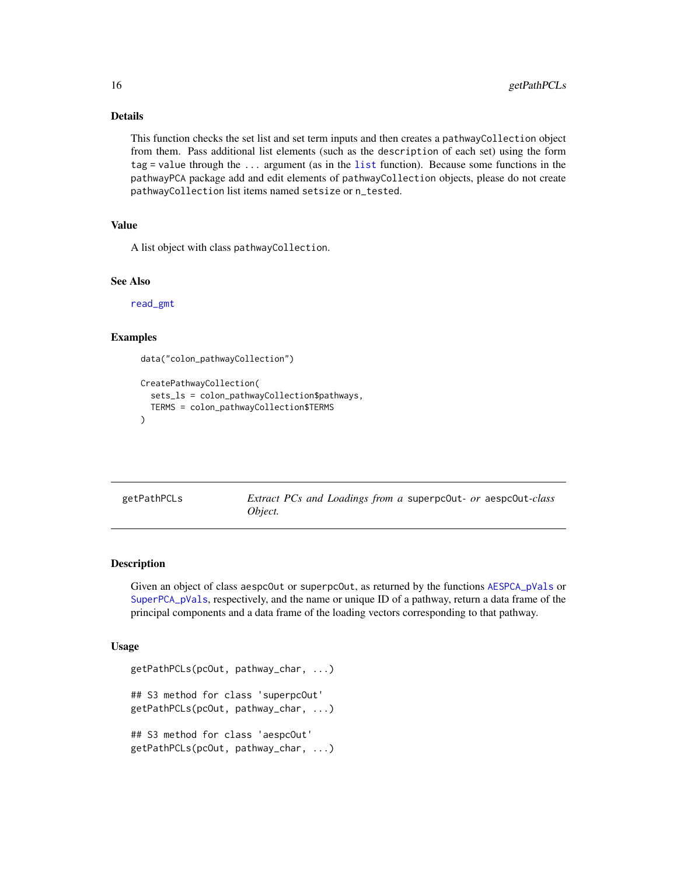### Details

This function checks the set list and set term inputs and then creates a pathwayCollection object from them. Pass additional list elements (such as the description of each set) using the form tag = value through the ... argument (as in the [list](#page-0-0) function). Because some functions in the pathwayPCA package add and edit elements of pathwayCollection objects, please do not create pathwayCollection list items named setsize or n\_tested.

### Value

A list object with class pathwayCollection.

### See Also

[read\\_gmt](#page-24-1)

### Examples

```
data("colon_pathwayCollection")
```

```
CreatePathwayCollection(
  sets_ls = colon_pathwayCollection$pathways,
 TERMS = colon_pathwayCollection$TERMS
)
```

|         |  |  |  | Extract PCs and Loadings from a superpc0ut- or aespc0ut-class |
|---------|--|--|--|---------------------------------------------------------------|
| Object. |  |  |  |                                                               |

### Description

getPathPCLs *Extract PCs and Loadings from a* superpcOut*- or* aespcOut*-class*

Given an object of class aespcOut or superpcOut, as returned by the functions [AESPCA\\_pVals](#page-4-1) or [SuperPCA\\_pVals](#page-33-1), respectively, and the name or unique ID of a pathway, return a data frame of the principal components and a data frame of the loading vectors corresponding to that pathway.

#### Usage

```
getPathPCLs(pcOut, pathway_char, ...)
## S3 method for class 'superpcOut'
getPathPCLs(pcOut, pathway_char, ...)
## S3 method for class 'aespcOut'
getPathPCLs(pcOut, pathway_char, ...)
```
<span id="page-15-0"></span>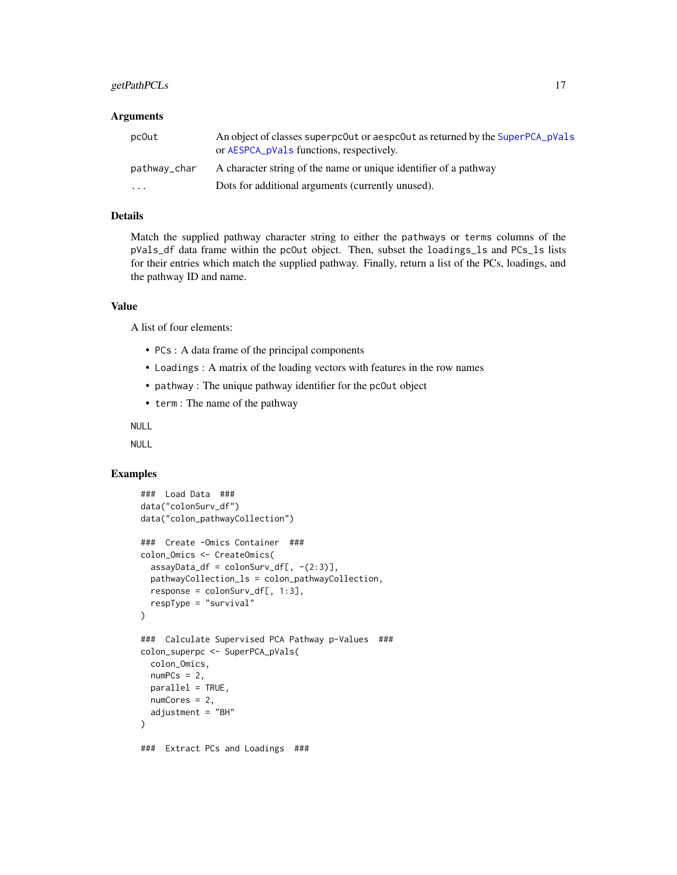### getPathPCLs 17

### **Arguments**

| pc0ut        | An object of classes superpc0ut or aespc0ut as returned by the SuperPCA_pVals<br>or AESPCA_pVals functions, respectively. |
|--------------|---------------------------------------------------------------------------------------------------------------------------|
| pathway_char | A character string of the name or unique identifier of a pathway                                                          |
| $\cdots$     | Dots for additional arguments (currently unused).                                                                         |

### Details

Match the supplied pathway character string to either the pathways or terms columns of the pVals\_df data frame within the pcOut object. Then, subset the loadings\_ls and PCs\_ls lists for their entries which match the supplied pathway. Finally, return a list of the PCs, loadings, and the pathway ID and name.

#### Value

A list of four elements:

- PCs : A data frame of the principal components
- Loadings : A matrix of the loading vectors with features in the row names
- pathway : The unique pathway identifier for the pcOut object
- term : The name of the pathway

NULL

NULL

### Examples

```
### Load Data ###
data("colonSurv_df")
data("colon_pathwayCollection")
### Create -Omics Container ###
colon_Omics <- CreateOmics(
  assayData_df = colonSurv_df[, -(2:3)],pathwayCollection_ls = colon_pathwayCollection,
 response = colonSurv_df[, 1:3],respType = "survival"
\lambda### Calculate Supervised PCA Pathway p-Values ###
colon_superpc <- SuperPCA_pVals(
 colon_Omics,
 numPCs = 2,
 parallel = TRUE,
  numCores = 2,
  adjustment = "BH")
### Extract PCs and Loadings ###
```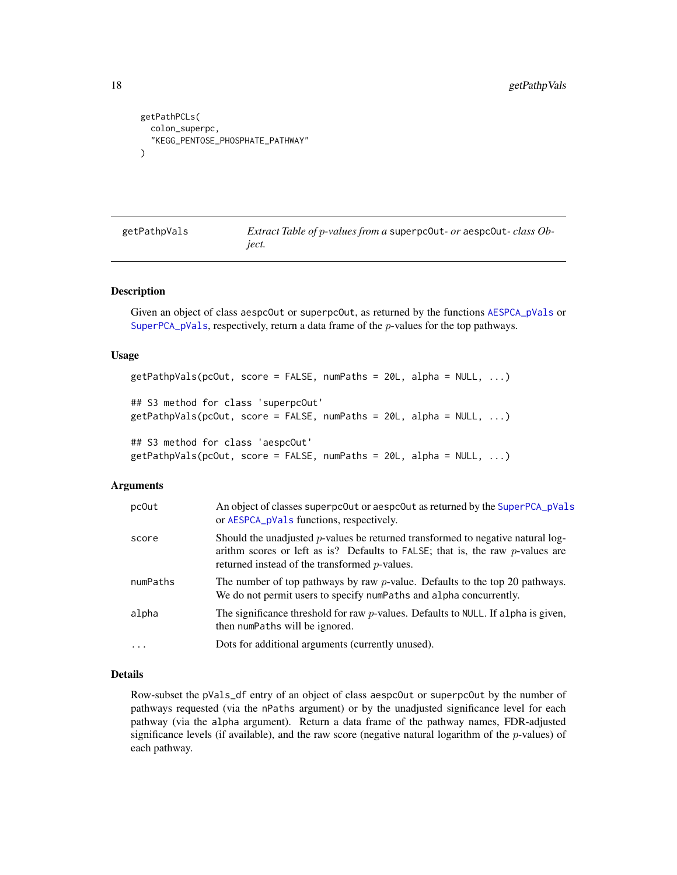```
getPathPCLs(
  colon_superpc,
  "KEGG_PENTOSE_PHOSPHATE_PATHWAY"
\lambda
```

| getPathpVals | <i>Extract Table of p-values from a superpcout- or aespcout-class Ob-</i> |
|--------------|---------------------------------------------------------------------------|
|              | iect.                                                                     |

### Description

Given an object of class aespcOut or superpcOut, as returned by the functions [AESPCA\\_pVals](#page-4-1) or [SuperPCA\\_pVals](#page-33-1), respectively, return a data frame of the  $p$ -values for the top pathways.

#### Usage

```
getPathpVals(pcOut, score = FALSE, numPaths = 20L, alpha = NULL, ...)
## S3 method for class 'superpcOut'
getPathpVals(pcOut, score = FALSE, numPaths = 20L, alpha = NULL, ...)
## S3 method for class 'aespcOut'
getPathpVals(pcOut, score = FALSE, numPaths = 20L, alpha = NULL, ...)
```
#### Arguments

| pc0ut    | An object of classes superpcout or aespcout as returned by the SuperPCA_pVals<br>or AESPCA_pVals functions, respectively.                                                                                                       |
|----------|---------------------------------------------------------------------------------------------------------------------------------------------------------------------------------------------------------------------------------|
| score    | Should the unadjusted $p$ -values be returned transformed to negative natural log-<br>arithm scores or left as is? Defaults to FALSE; that is, the raw $p$ -values are<br>returned instead of the transformed <i>p</i> -values. |
| numPaths | The number of top pathways by raw $p$ -value. Defaults to the top 20 pathways.<br>We do not permit users to specify numPaths and alpha concurrently.                                                                            |
| alpha    | The significance threshold for raw $p$ -values. Defaults to NULL. If alpha is given,<br>then numPaths will be ignored.                                                                                                          |
| $\cdots$ | Dots for additional arguments (currently unused).                                                                                                                                                                               |

### Details

Row-subset the pVals\_df entry of an object of class aespcOut or superpcOut by the number of pathways requested (via the nPaths argument) or by the unadjusted significance level for each pathway (via the alpha argument). Return a data frame of the pathway names, FDR-adjusted significance levels (if available), and the raw score (negative natural logarithm of the  $p$ -values) of each pathway.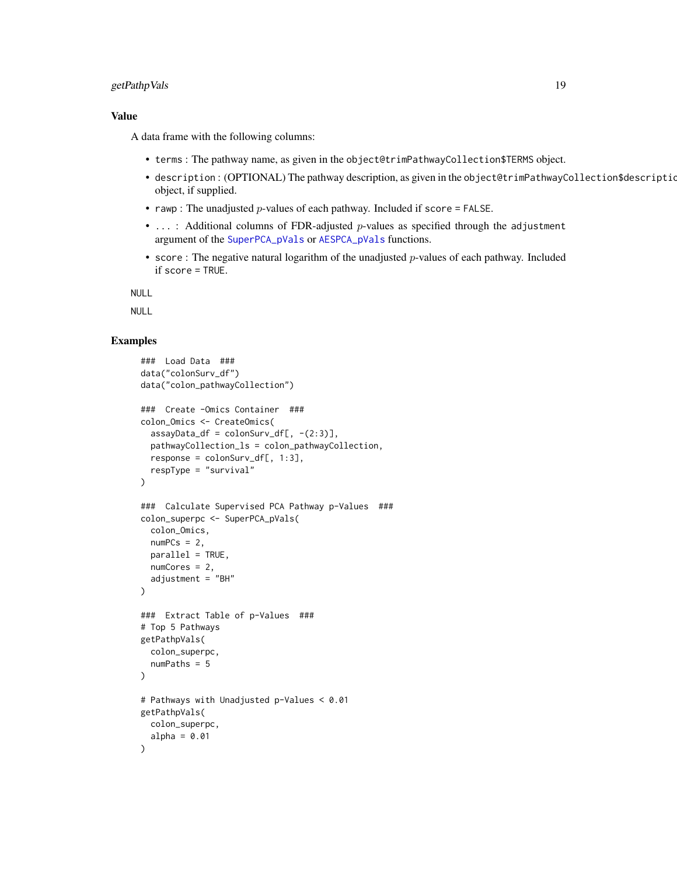### getPathpVals 19

### Value

A data frame with the following columns:

- terms : The pathway name, as given in the object@trimPathwayCollection\$TERMS object.
- description: (OPTIONAL) The pathway description, as given in the object@trimPathwayCollection\$description object, if supplied.
- rawp : The unadjusted  $p$ -values of each pathway. Included if score = FALSE.
- ...: Additional columns of FDR-adjusted p-values as specified through the adjustment argument of the [SuperPCA\\_pVals](#page-33-1) or [AESPCA\\_pVals](#page-4-1) functions.
- score : The negative natural logarithm of the unadjusted p-values of each pathway. Included if score = TRUE.

NULL

NULL

### Examples

```
### Load Data ###
data("colonSurv_df")
data("colon_pathwayCollection")
### Create -Omics Container ###
colon_Omics <- CreateOmics(
 assayData_df = colonSurv_df[, -(2:3)],pathwayCollection_ls = colon_pathwayCollection,
 response = colonSurv_dff, 1:3],respType = "survival"
\lambda### Calculate Supervised PCA Pathway p-Values ###
colon_superpc <- SuperPCA_pVals(
  colon_Omics,
 numPCs = 2,
 parallel = TRUE,
 numCores = 2,
  adjustment = "BH"
)
### Extract Table of p-Values ###
# Top 5 Pathways
getPathpVals(
 colon_superpc,
  numPaths = 5
\lambda# Pathways with Unadjusted p-Values < 0.01
getPathpVals(
 colon_superpc,
  alpha = 0.01)
```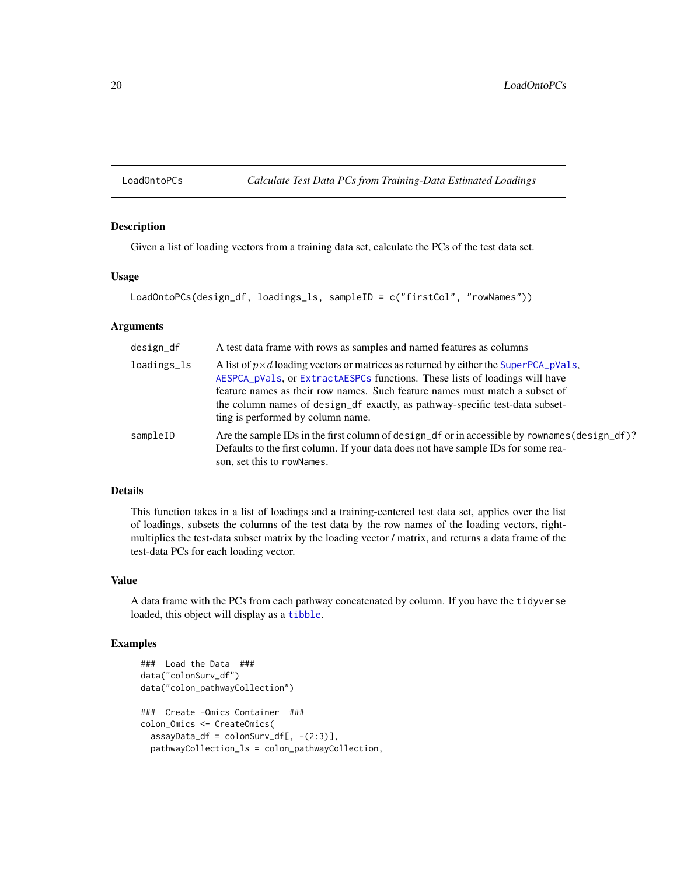<span id="page-19-0"></span>LoadOntoPCs *Calculate Test Data PCs from Training-Data Estimated Loadings*

#### Description

Given a list of loading vectors from a training data set, calculate the PCs of the test data set.

#### Usage

```
LoadOntoPCs(design_df, loadings_ls, sampleID = c("firstCol", "rowNames"))
```
#### **Arguments**

| design_df   | A test data frame with rows as samples and named features as columns                                                                                                                                                                                                                                                                                                            |
|-------------|---------------------------------------------------------------------------------------------------------------------------------------------------------------------------------------------------------------------------------------------------------------------------------------------------------------------------------------------------------------------------------|
| loadings_ls | A list of $p \times d$ loading vectors or matrices as returned by either the SuperPCA_pVa1s,<br>AESPCA_pVals, or ExtractAESPCs functions. These lists of loadings will have<br>feature names as their row names. Such feature names must match a subset of<br>the column names of design_df exactly, as pathway-specific test-data subset-<br>ting is performed by column name. |
| sampleID    | Are the sample IDs in the first column of design_df or in accessible by rownames (design_df)?<br>Defaults to the first column. If your data does not have sample IDs for some rea-<br>son, set this to rowNames.                                                                                                                                                                |

### Details

This function takes in a list of loadings and a training-centered test data set, applies over the list of loadings, subsets the columns of the test data by the row names of the loading vectors, rightmultiplies the test-data subset matrix by the loading vector / matrix, and returns a data frame of the test-data PCs for each loading vector.

### Value

A data frame with the PCs from each pathway concatenated by column. If you have the tidyverse loaded, this object will display as a [tibble](#page-0-0).

### Examples

```
### Load the Data ###
data("colonSurv_df")
data("colon_pathwayCollection")
### Create -Omics Container ###
colon_Omics <- CreateOmics(
  assayData_df = colonSurv_df[, -(2:3)],pathwayCollection_ls = colon_pathwayCollection,
```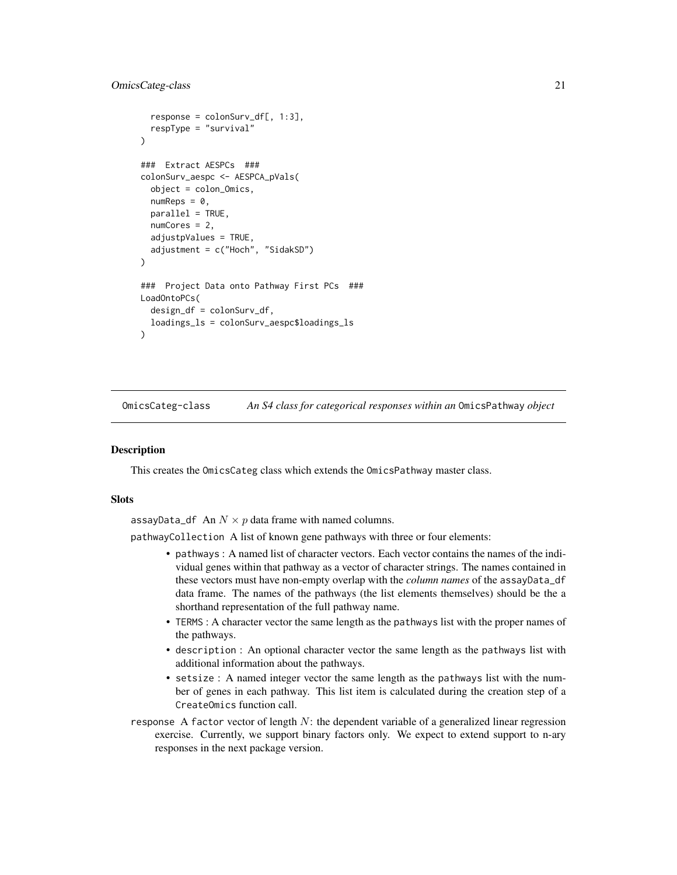### <span id="page-20-0"></span>OmicsCateg-class 21

```
response = colonSurv_df[, 1:3],respType = "survival"
)
### Extract AESPCs ###
colonSurv_aespc <- AESPCA_pVals(
  object = colon_Omics,
  numReps = 0,
  parallel = TRUE,
  numCores = 2,
  adjustpValues = TRUE,
  adjustment = c("Hoch", "SidakSD")
)
### Project Data onto Pathway First PCs ###
LoadOntoPCs(
  design_df = colonSurv_df,
  loadings_ls = colonSurv_aespc$loadings_ls
\lambda
```
<span id="page-20-1"></span>OmicsCateg-class *An S4 class for categorical responses within an* OmicsPathway *object*

### **Description**

This creates the OmicsCateg class which extends the OmicsPathway master class.

### **Slots**

assayData\_df An  $N \times p$  data frame with named columns.

pathwayCollection A list of known gene pathways with three or four elements:

- pathways : A named list of character vectors. Each vector contains the names of the individual genes within that pathway as a vector of character strings. The names contained in these vectors must have non-empty overlap with the *column names* of the assayData\_df data frame. The names of the pathways (the list elements themselves) should be the a shorthand representation of the full pathway name.
- TERMS : A character vector the same length as the pathways list with the proper names of the pathways.
- description : An optional character vector the same length as the pathways list with additional information about the pathways.
- setsize : A named integer vector the same length as the pathways list with the number of genes in each pathway. This list item is calculated during the creation step of a CreateOmics function call.
- response A factor vector of length  $N$ : the dependent variable of a generalized linear regression exercise. Currently, we support binary factors only. We expect to extend support to n-ary responses in the next package version.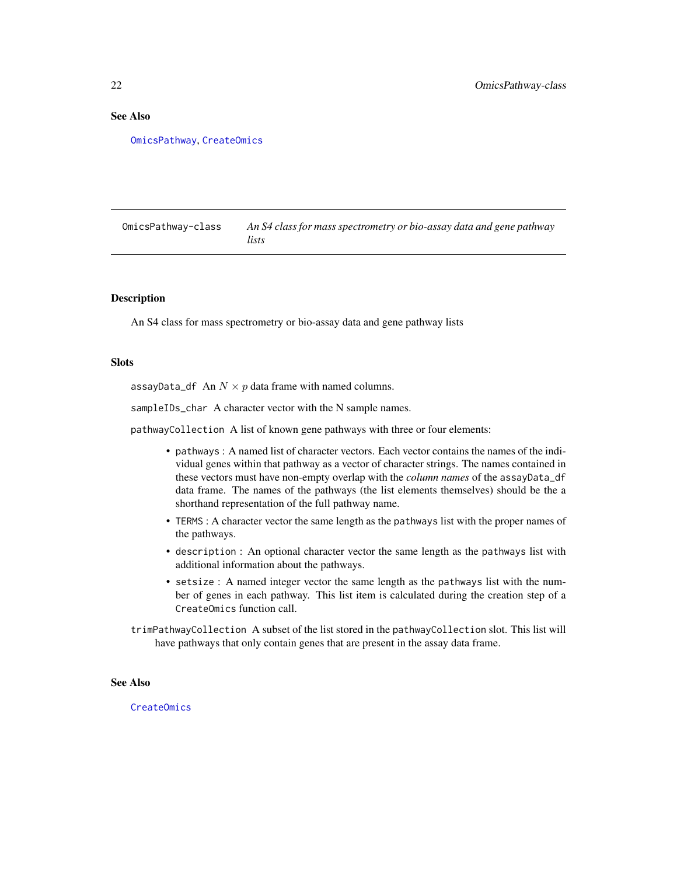### <span id="page-21-0"></span>See Also

[OmicsPathway](#page-21-1), [CreateOmics](#page-9-1)

<span id="page-21-1"></span>OmicsPathway-class *An S4 class for mass spectrometry or bio-assay data and gene pathway lists*

### **Description**

An S4 class for mass spectrometry or bio-assay data and gene pathway lists

#### Slots

assayData\_df An  $N \times p$  data frame with named columns.

sampleIDs\_char A character vector with the N sample names.

pathwayCollection A list of known gene pathways with three or four elements:

- pathways : A named list of character vectors. Each vector contains the names of the individual genes within that pathway as a vector of character strings. The names contained in these vectors must have non-empty overlap with the *column names* of the assayData\_df data frame. The names of the pathways (the list elements themselves) should be the a shorthand representation of the full pathway name.
- TERMS : A character vector the same length as the pathways list with the proper names of the pathways.
- description : An optional character vector the same length as the pathways list with additional information about the pathways.
- setsize : A named integer vector the same length as the pathways list with the number of genes in each pathway. This list item is calculated during the creation step of a CreateOmics function call.
- trimPathwayCollection A subset of the list stored in the pathwayCollection slot. This list will have pathways that only contain genes that are present in the assay data frame.

### See Also

[CreateOmics](#page-9-1)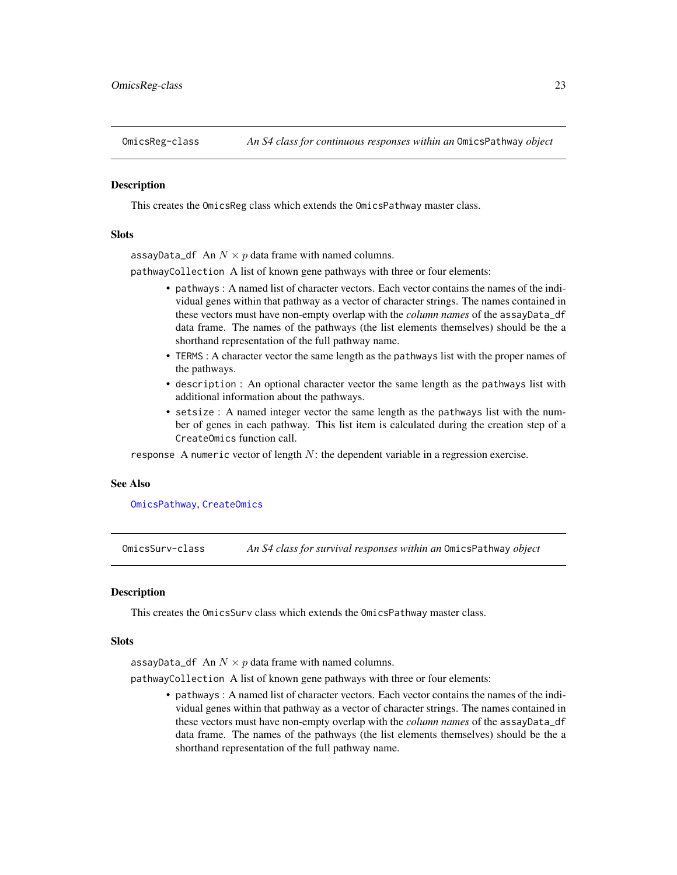<span id="page-22-2"></span><span id="page-22-0"></span>

#### **Description**

This creates the OmicsReg class which extends the OmicsPathway master class.

### **Slots**

assayData\_df An  $N \times p$  data frame with named columns.

pathwayCollection A list of known gene pathways with three or four elements:

- pathways : A named list of character vectors. Each vector contains the names of the individual genes within that pathway as a vector of character strings. The names contained in these vectors must have non-empty overlap with the *column names* of the assayData\_df data frame. The names of the pathways (the list elements themselves) should be the a shorthand representation of the full pathway name.
- TERMS : A character vector the same length as the pathways list with the proper names of the pathways.
- description : An optional character vector the same length as the pathways list with additional information about the pathways.
- setsize : A named integer vector the same length as the pathways list with the number of genes in each pathway. This list item is calculated during the creation step of a CreateOmics function call.

response A numeric vector of length  $N$ : the dependent variable in a regression exercise.

#### See Also

#### [OmicsPathway](#page-21-1), [CreateOmics](#page-9-1)

<span id="page-22-1"></span>OmicsSurv-class *An S4 class for survival responses within an* OmicsPathway *object*

### **Description**

This creates the OmicsSurv class which extends the OmicsPathway master class.

#### Slots

assayData\_df An  $N \times p$  data frame with named columns.

pathwayCollection A list of known gene pathways with three or four elements:

• pathways : A named list of character vectors. Each vector contains the names of the individual genes within that pathway as a vector of character strings. The names contained in these vectors must have non-empty overlap with the *column names* of the assayData\_df data frame. The names of the pathways (the list elements themselves) should be the a shorthand representation of the full pathway name.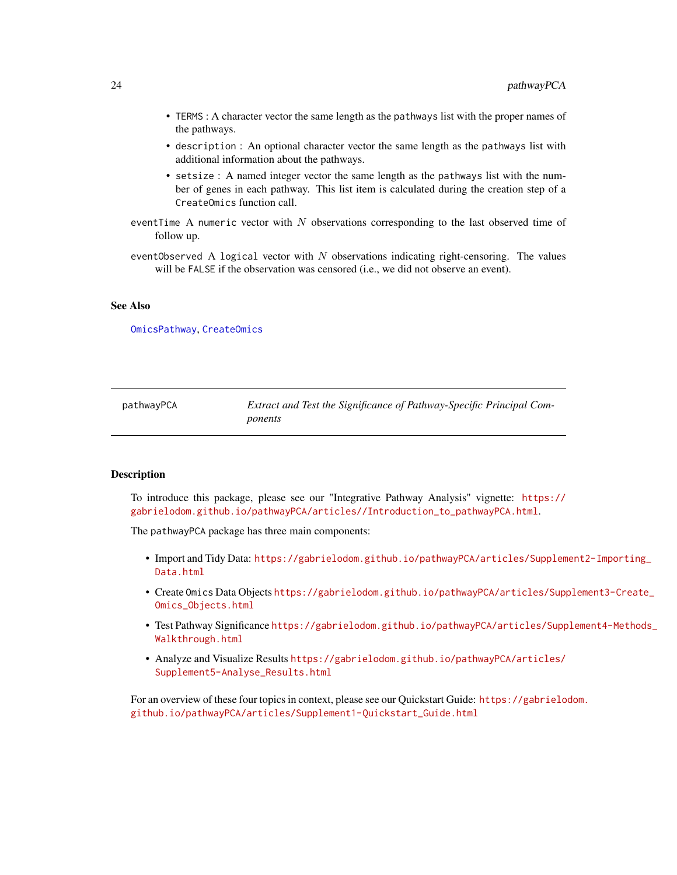- <span id="page-23-0"></span>• TERMS : A character vector the same length as the pathways list with the proper names of the pathways.
- description : An optional character vector the same length as the pathways list with additional information about the pathways.
- setsize : A named integer vector the same length as the pathways list with the number of genes in each pathway. This list item is calculated during the creation step of a CreateOmics function call.
- eventTime A numeric vector with  $N$  observations corresponding to the last observed time of follow up.
- eventObserved A logical vector with  $N$  observations indicating right-censoring. The values will be FALSE if the observation was censored (i.e., we did not observe an event).

#### See Also

[OmicsPathway](#page-21-1), [CreateOmics](#page-9-1)

| pathwayPCA | Extract and Test the Significance of Pathway-Specific Principal Com- |
|------------|----------------------------------------------------------------------|
|            | ponents                                                              |

### **Description**

To introduce this package, please see our "Integrative Pathway Analysis" vignette: [https://](https://gabrielodom.github.io/pathwayPCA/articles//Introduction_to_pathwayPCA.html) [gabrielodom.github.io/pathwayPCA/articles//Introduction\\_to\\_pathwayPCA.html](https://gabrielodom.github.io/pathwayPCA/articles//Introduction_to_pathwayPCA.html).

The pathwayPCA package has three main components:

- Import and Tidy Data: [https://gabrielodom.github.io/pathwayPCA/articles/Supplem](https://gabrielodom.github.io/pathwayPCA/articles/Supplement2-Importing_Data.html)ent2-Importing\_ [Data.html](https://gabrielodom.github.io/pathwayPCA/articles/Supplement2-Importing_Data.html)
- Create Omics Data Objects [https://gabrielodom.github.io/pathwayPCA/articles/Supp](https://gabrielodom.github.io/pathwayPCA/articles/Supplement3-Create_Omics_Objects.html)lement3-Create\_ [Omics\\_Objects.html](https://gabrielodom.github.io/pathwayPCA/articles/Supplement3-Create_Omics_Objects.html)
- Test Pathway Significance [https://gabrielodom.github.io/pathwayPCA/articles/Supp](https://gabrielodom.github.io/pathwayPCA/articles/Supplement4-Methods_Walkthrough.html)lement4-Methods\_ [Walkthrough.html](https://gabrielodom.github.io/pathwayPCA/articles/Supplement4-Methods_Walkthrough.html)
- Analyze and Visualize Results [https://gabrielodom.github.io/pathwayPCA/articles/](https://gabrielodom.github.io/pathwayPCA/articles/Supplement5-Analyse_Results.html) [Supplement5-Analyse\\_Results.html](https://gabrielodom.github.io/pathwayPCA/articles/Supplement5-Analyse_Results.html)

For an overview of these four topics in context, please see our Quickstart Guide: [https://gabrielo](https://gabrielodom.github.io/pathwayPCA/articles/Supplement1-Quickstart_Guide.html)dom. [github.io/pathwayPCA/articles/Supplement1-Quickstart\\_Guide.html](https://gabrielodom.github.io/pathwayPCA/articles/Supplement1-Quickstart_Guide.html)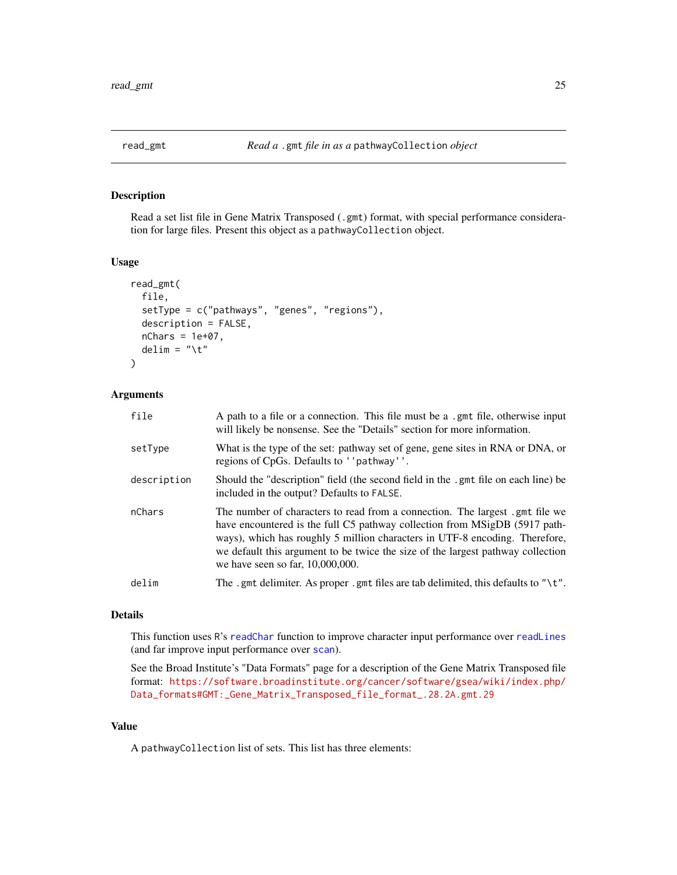<span id="page-24-1"></span><span id="page-24-0"></span>

### Description

Read a set list file in Gene Matrix Transposed (.gmt) format, with special performance consideration for large files. Present this object as a pathwayCollection object.

#### Usage

```
read_gmt(
  file,
  setType = c("pathways", "genes", "regions"),
  description = FALSE,
 nChars = 1e+07,
  delim = "\t"
)
```
### Arguments

| file        | A path to a file or a connection. This file must be a .gmt file, otherwise input<br>will likely be nonsense. See the "Details" section for more information.                                                                                                                                                                                                        |
|-------------|---------------------------------------------------------------------------------------------------------------------------------------------------------------------------------------------------------------------------------------------------------------------------------------------------------------------------------------------------------------------|
| setType     | What is the type of the set: pathway set of gene, gene sites in RNA or DNA, or<br>regions of CpGs. Defaults to ''pathway''.                                                                                                                                                                                                                                         |
| description | Should the "description" field (the second field in the .gmt file on each line) be<br>included in the output? Defaults to FALSE.                                                                                                                                                                                                                                    |
| nChars      | The number of characters to read from a connection. The largest gent file we<br>have encountered is the full C5 pathway collection from MSigDB (5917 path-<br>ways), which has roughly 5 million characters in UTF-8 encoding. Therefore,<br>we default this argument to be twice the size of the largest pathway collection<br>we have seen so far, $10,000,000$ . |
| delim       | The .gmt delimiter. As proper .gmt files are tab delimited, this defaults to " $\$ t".                                                                                                                                                                                                                                                                              |

### Details

This function uses R's [readChar](#page-0-0) function to improve character input performance over [readLines](#page-0-0) (and far improve input performance over [scan](#page-0-0)).

See the Broad Institute's "Data Formats" page for a description of the Gene Matrix Transposed file format: [https://software.broadinstitute.org/cancer/software/gsea/wiki/index.php/](https://software.broadinstitute.org/cancer/software/gsea/wiki/index.php/Data_formats#GMT:_Gene_Matrix_Transposed_file_format_.28.2A.gmt.29) [Data\\_formats#GMT:\\_Gene\\_Matrix\\_Transposed\\_file\\_format\\_.28.2A.gmt.29](https://software.broadinstitute.org/cancer/software/gsea/wiki/index.php/Data_formats#GMT:_Gene_Matrix_Transposed_file_format_.28.2A.gmt.29)

#### Value

A pathwayCollection list of sets. This list has three elements: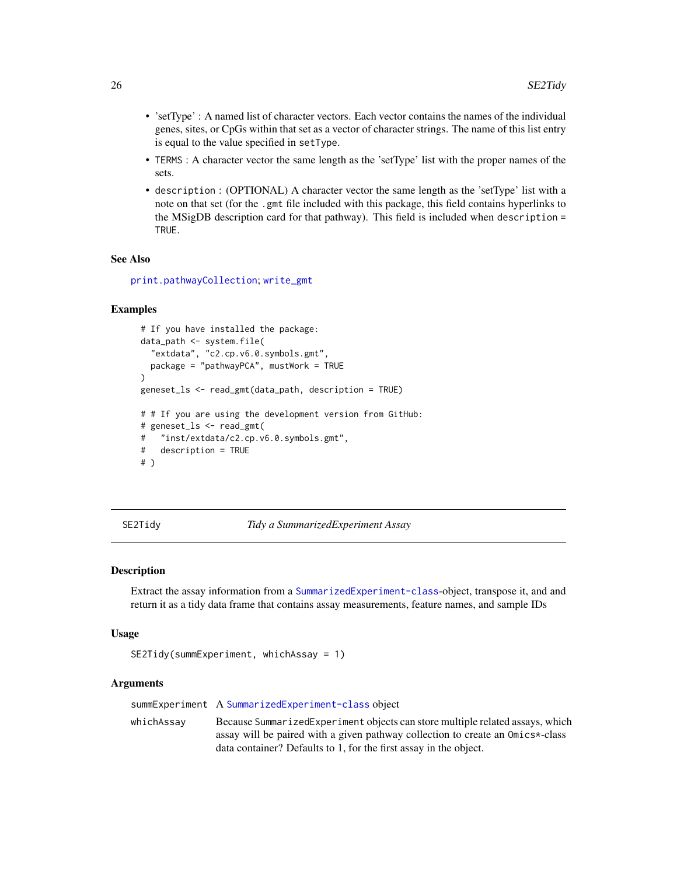- <span id="page-25-0"></span>• 'setType' : A named list of character vectors. Each vector contains the names of the individual genes, sites, or CpGs within that set as a vector of character strings. The name of this list entry is equal to the value specified in setType.
- TERMS : A character vector the same length as the 'setType' list with the proper names of the sets.
- description : (OPTIONAL) A character vector the same length as the 'setType' list with a note on that set (for the .gmt file included with this package, this field contains hyperlinks to the MSigDB description card for that pathway). This field is included when description = TRUE.

#### See Also

[print.pathwayCollection](#page-0-0); [write\\_gmt](#page-39-1)

### Examples

```
# If you have installed the package:
data_path <- system.file(
  "extdata", "c2.cp.v6.0.symbols.gmt",
 package = "pathwayPCA", mustWork = TRUE
\lambdageneset_ls <- read_gmt(data_path, description = TRUE)
# # If you are using the development version from GitHub:
# geneset_ls <- read_gmt(
# "inst/extdata/c2.cp.v6.0.symbols.gmt",
# description = TRUE
# )
```

```
SE2Tidy Tidy a SummarizedExperiment Assay
```
#### Description

Extract the assay information from a [SummarizedExperiment-class](#page-0-0)-object, transpose it, and and return it as a tidy data frame that contains assay measurements, feature names, and sample IDs

#### Usage

```
SE2Tidy(summExperiment, whichAssay = 1)
```
#### **Arguments**

summExperiment A [SummarizedExperiment-class](#page-0-0) object

whichAssay Because SummarizedExperiment objects can store multiple related assays, which assay will be paired with a given pathway collection to create an Omics\*-class data container? Defaults to 1, for the first assay in the object.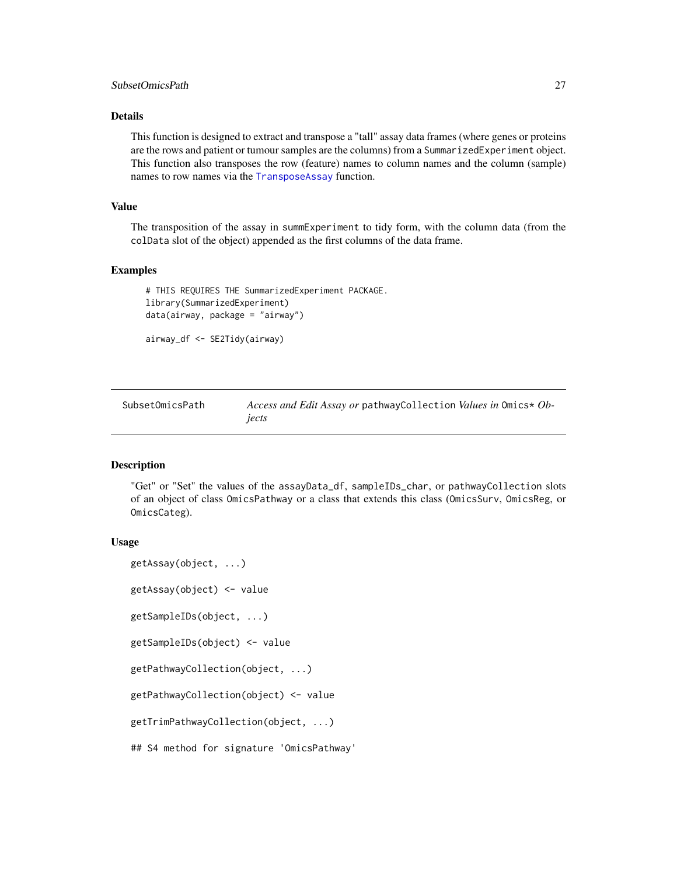### <span id="page-26-0"></span>Details

This function is designed to extract and transpose a "tall" assay data frames (where genes or proteins are the rows and patient or tumour samples are the columns) from a SummarizedExperiment object. This function also transposes the row (feature) names to column names and the column (sample) names to row names via the [TransposeAssay](#page-35-1) function.

#### Value

The transposition of the assay in summExperiment to tidy form, with the column data (from the colData slot of the object) appended as the first columns of the data frame.

#### Examples

```
# THIS REQUIRES THE SummarizedExperiment PACKAGE.
library(SummarizedExperiment)
data(airway, package = "airway")
```
airway\_df <- SE2Tidy(airway)

| SubsetOmicsPath | Access and Edit Assay or pathway Collection Values in Omics* Ob- |
|-----------------|------------------------------------------------------------------|
|                 | iects                                                            |

#### Description

"Get" or "Set" the values of the assayData\_df, sampleIDs\_char, or pathwayCollection slots of an object of class OmicsPathway or a class that extends this class (OmicsSurv, OmicsReg, or OmicsCateg).

#### Usage

```
getAssay(object, ...)
getAssay(object) <- value
getSampleIDs(object, ...)
getSampleIDs(object) <- value
getPathwayCollection(object, ...)
getPathwayCollection(object) <- value
getTrimPathwayCollection(object, ...)
## S4 method for signature 'OmicsPathway'
```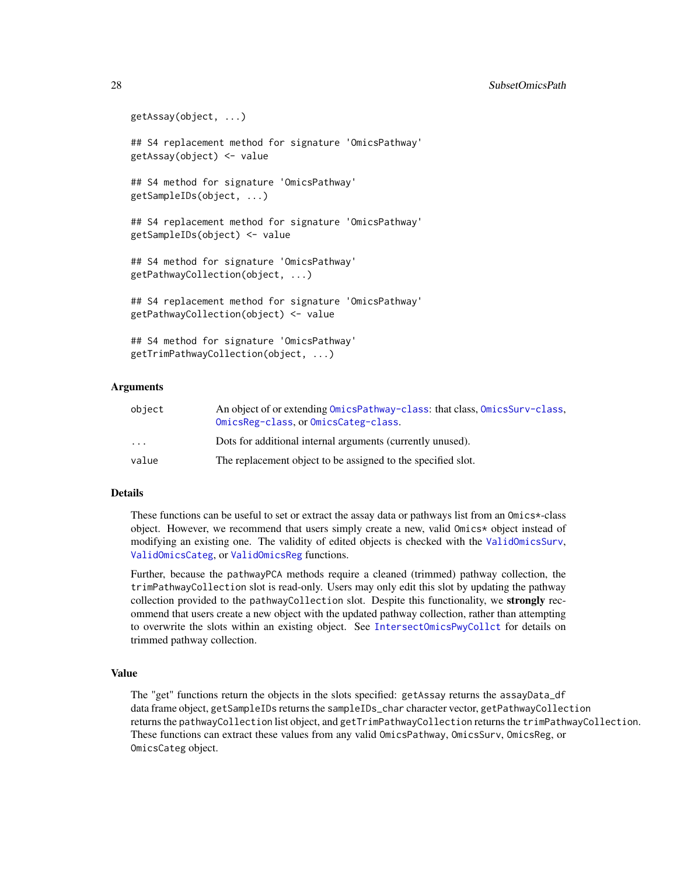```
getAssay(object, ...)
## S4 replacement method for signature 'OmicsPathway'
getAssay(object) <- value
## S4 method for signature 'OmicsPathway'
getSampleIDs(object, ...)
## S4 replacement method for signature 'OmicsPathway'
getSampleIDs(object) <- value
## S4 method for signature 'OmicsPathway'
getPathwayCollection(object, ...)
## S4 replacement method for signature 'OmicsPathway'
getPathwayCollection(object) <- value
## S4 method for signature 'OmicsPathway'
getTrimPathwayCollection(object, ...)
```
#### Arguments

| object                  | An object of or extending OmicsPathway-class: that class, OmicsSurv-class,<br>OmicsReg-class, or OmicsCateg-class. |
|-------------------------|--------------------------------------------------------------------------------------------------------------------|
| $\cdot$ $\cdot$ $\cdot$ | Dots for additional internal arguments (currently unused).                                                         |
| value                   | The replacement object to be assigned to the specified slot.                                                       |

### Details

These functions can be useful to set or extract the assay data or pathways list from an Omics\*-class object. However, we recommend that users simply create a new, valid Omics\* object instead of modifying an existing one. The validity of edited objects is checked with the [ValidOmicsSurv](#page-0-0), [ValidOmicsCateg](#page-0-0), or [ValidOmicsReg](#page-0-0) functions.

Further, because the pathwayPCA methods require a cleaned (trimmed) pathway collection, the trimPathwayCollection slot is read-only. Users may only edit this slot by updating the pathway collection provided to the pathwayCollection slot. Despite this functionality, we **strongly** recommend that users create a new object with the updated pathway collection, rather than attempting to overwrite the slots within an existing object. See [IntersectOmicsPwyCollct](#page-0-0) for details on trimmed pathway collection.

### Value

The "get" functions return the objects in the slots specified: getAssay returns the assayData\_df data frame object, getSampleIDs returns the sampleIDs\_char character vector, getPathwayCollection returns the pathwayCollection list object, and getTrimPathwayCollection returns the trimPathwayCollection. These functions can extract these values from any valid OmicsPathway, OmicsSurv, OmicsReg, or OmicsCateg object.

<span id="page-27-0"></span>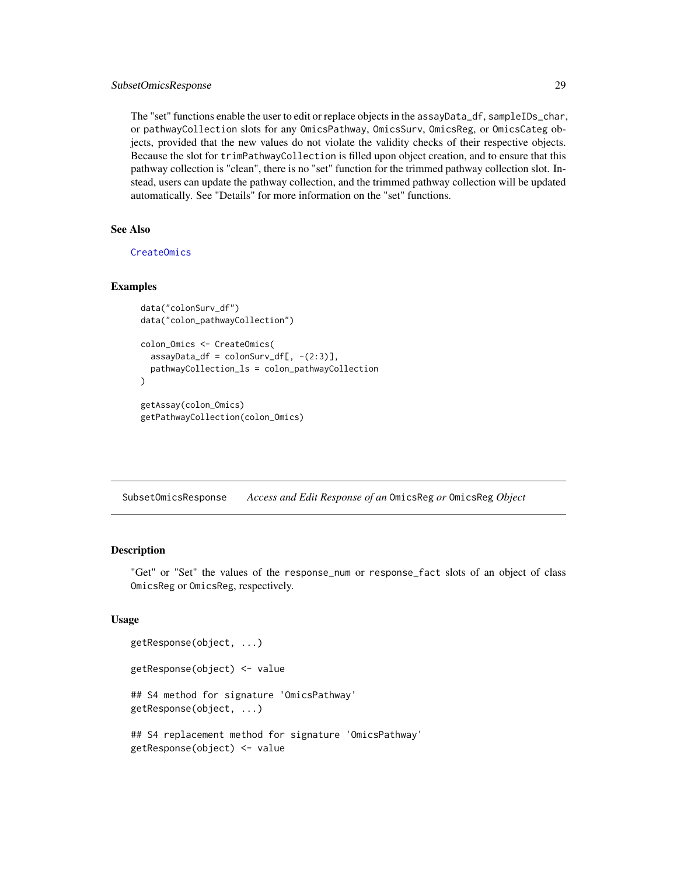### <span id="page-28-0"></span>SubsetOmicsResponse 29

The "set" functions enable the user to edit or replace objects in the assayData\_df, sampleIDs\_char, or pathwayCollection slots for any OmicsPathway, OmicsSurv, OmicsReg, or OmicsCateg objects, provided that the new values do not violate the validity checks of their respective objects. Because the slot for trimPathwayCollection is filled upon object creation, and to ensure that this pathway collection is "clean", there is no "set" function for the trimmed pathway collection slot. Instead, users can update the pathway collection, and the trimmed pathway collection will be updated automatically. See "Details" for more information on the "set" functions.

### See Also

[CreateOmics](#page-9-1)

### Examples

```
data("colonSurv_df")
data("colon_pathwayCollection")
```

```
colon_Omics <- CreateOmics(
  assayData_df = colonSurv_df[, -(2:3)],pathwayCollection_ls = colon_pathwayCollection
\lambdagetAssay(colon_Omics)
```

```
getPathwayCollection(colon_Omics)
```
SubsetOmicsResponse *Access and Edit Response of an* OmicsReg *or* OmicsReg *Object*

### Description

"Get" or "Set" the values of the response\_num or response\_fact slots of an object of class OmicsReg or OmicsReg, respectively.

### Usage

```
getResponse(object, ...)
getResponse(object) <- value
## S4 method for signature 'OmicsPathway'
getResponse(object, ...)
## S4 replacement method for signature 'OmicsPathway'
getResponse(object) <- value
```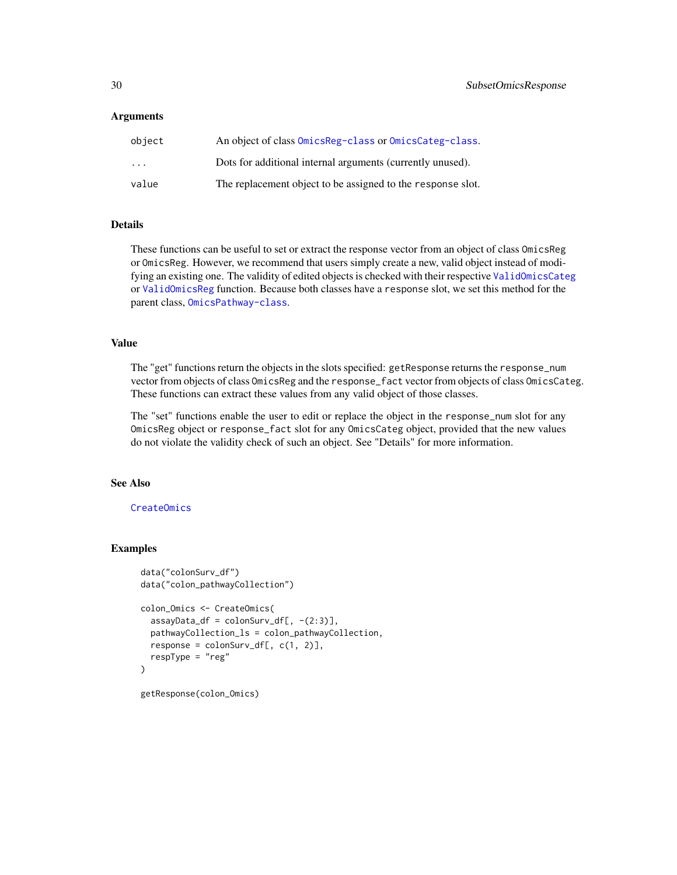### <span id="page-29-0"></span>**Arguments**

| object                  | An object of class OmicsReg-class or OmicsCateg-class.      |
|-------------------------|-------------------------------------------------------------|
| $\cdot$ $\cdot$ $\cdot$ | Dots for additional internal arguments (currently unused).  |
| value                   | The replacement object to be assigned to the response slot. |

### Details

These functions can be useful to set or extract the response vector from an object of class OmicsReg or OmicsReg. However, we recommend that users simply create a new, valid object instead of modifying an existing one. The validity of edited objects is checked with their respective [ValidOmicsCateg](#page-0-0) or [ValidOmicsReg](#page-0-0) function. Because both classes have a response slot, we set this method for the parent class, [OmicsPathway-class](#page-21-1).

### Value

The "get" functions return the objects in the slots specified: getResponse returns the response\_num vector from objects of class OmicsReg and the response\_fact vector from objects of class OmicsCateg. These functions can extract these values from any valid object of those classes.

The "set" functions enable the user to edit or replace the object in the response\_num slot for any OmicsReg object or response\_fact slot for any OmicsCateg object, provided that the new values do not violate the validity check of such an object. See "Details" for more information.

### See Also

### [CreateOmics](#page-9-1)

### Examples

```
data("colonSurv_df")
data("colon_pathwayCollection")
colon_Omics <- CreateOmics(
  assayData_df = colonSurv_df[, -(2:3)],pathwayCollection_ls = colon_pathwayCollection,
  response = colonSurv_df[, c(1, 2)],respType = "reg"
\lambdagetResponse(colon_Omics)
```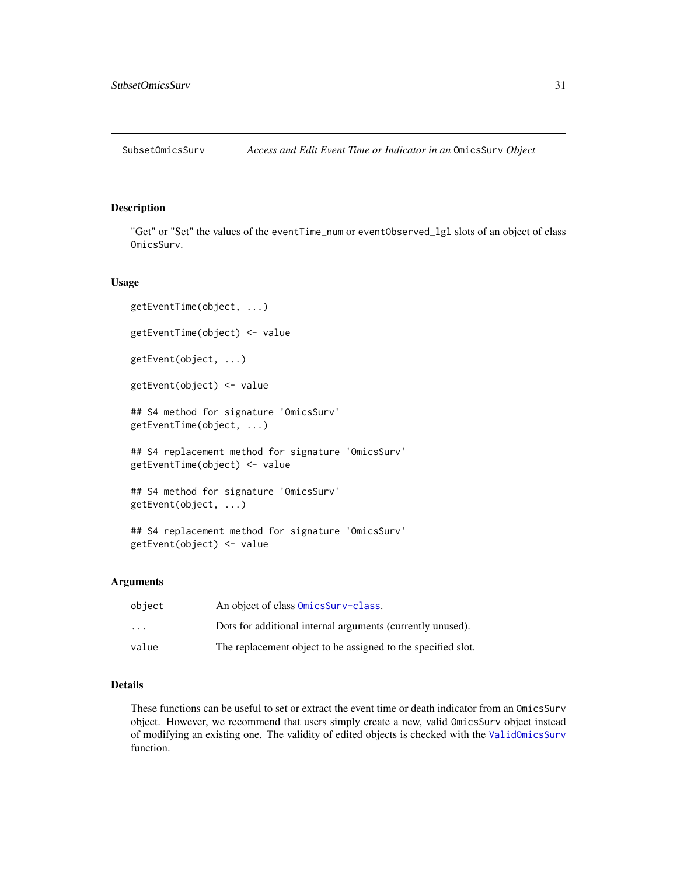<span id="page-30-0"></span>SubsetOmicsSurv *Access and Edit Event Time or Indicator in an* OmicsSurv *Object*

### Description

"Get" or "Set" the values of the eventTime\_num or eventObserved\_lgl slots of an object of class OmicsSurv.

#### Usage

```
getEventTime(object, ...)
getEventTime(object) <- value
getEvent(object, ...)
getEvent(object) <- value
## S4 method for signature 'OmicsSurv'
getEventTime(object, ...)
## S4 replacement method for signature 'OmicsSurv'
getEventTime(object) <- value
## S4 method for signature 'OmicsSurv'
getEvent(object, ...)
```
## S4 replacement method for signature 'OmicsSurv' getEvent(object) <- value

### Arguments

| object                  | An object of class OmicsSurv-class.                          |
|-------------------------|--------------------------------------------------------------|
| $\cdot$ $\cdot$ $\cdot$ | Dots for additional internal arguments (currently unused).   |
| value                   | The replacement object to be assigned to the specified slot. |

### Details

These functions can be useful to set or extract the event time or death indicator from an OmicsSurv object. However, we recommend that users simply create a new, valid OmicsSurv object instead of modifying an existing one. The validity of edited objects is checked with the [ValidOmicsSurv](#page-0-0) function.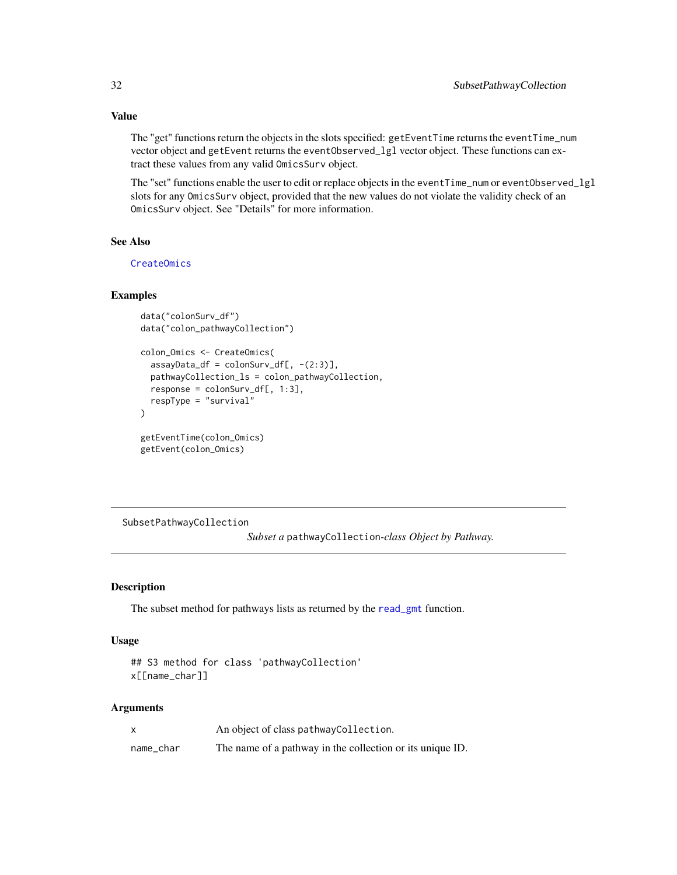The "get" functions return the objects in the slots specified: getEventTime returns the eventTime\_num vector object and getEvent returns the eventObserved\_lgl vector object. These functions can extract these values from any valid OmicsSurv object.

The "set" functions enable the user to edit or replace objects in the eventTime\_num or eventObserved\_lgl slots for any OmicsSurv object, provided that the new values do not violate the validity check of an OmicsSurv object. See "Details" for more information.

### See Also

[CreateOmics](#page-9-1)

### Examples

```
data("colonSurv_df")
data("colon_pathwayCollection")
colon_Omics <- CreateOmics(
  assayData_df = colonSurv_df[, -(2:3)],pathwayCollection_ls = colon_pathwayCollection,
  response = colonSurv_df[, 1:3],
  respType = "survival"
\lambdagetEventTime(colon_Omics)
getEvent(colon_Omics)
```
SubsetPathwayCollection

*Subset a* pathwayCollection*-class Object by Pathway.*

#### Description

The subset method for pathways lists as returned by the [read\\_gmt](#page-24-1) function.

### Usage

```
## S3 method for class 'pathwayCollection'
x[[name_char]]
```
### **Arguments**

|           | An object of class pathway Collection.                    |
|-----------|-----------------------------------------------------------|
| name_char | The name of a pathway in the collection or its unique ID. |

<span id="page-31-0"></span>

### Value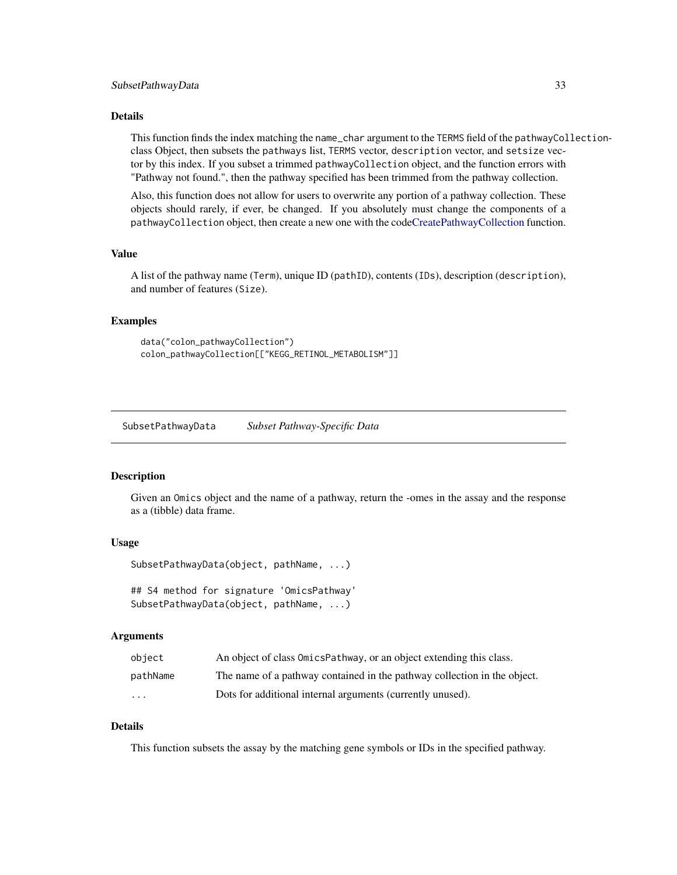#### <span id="page-32-0"></span>Details

This function finds the index matching the name\_char argument to the TERMS field of the pathwayCollectionclass Object, then subsets the pathways list, TERMS vector, description vector, and setsize vector by this index. If you subset a trimmed pathwayCollection object, and the function errors with "Pathway not found.", then the pathway specified has been trimmed from the pathway collection.

Also, this function does not allow for users to overwrite any portion of a pathway collection. These objects should rarely, if ever, be changed. If you absolutely must change the components of a pathwayCollection object, then create a new one with the cod[eCreatePathwayCollection](#page-14-1) function.

### Value

A list of the pathway name (Term), unique ID (pathID), contents (IDs), description (description), and number of features (Size).

### Examples

```
data("colon_pathwayCollection")
colon_pathwayCollection[["KEGG_RETINOL_METABOLISM"]]
```
SubsetPathwayData *Subset Pathway-Specific Data*

#### Description

Given an Omics object and the name of a pathway, return the -omes in the assay and the response as a (tibble) data frame.

#### Usage

```
SubsetPathwayData(object, pathName, ...)
```
## S4 method for signature 'OmicsPathway' SubsetPathwayData(object, pathName, ...)

#### Arguments

| obiect                  | An object of class OmicsPathway, or an object extending this class.      |
|-------------------------|--------------------------------------------------------------------------|
| pathName                | The name of a pathway contained in the pathway collection in the object. |
| $\cdot$ $\cdot$ $\cdot$ | Dots for additional internal arguments (currently unused).               |

### Details

This function subsets the assay by the matching gene symbols or IDs in the specified pathway.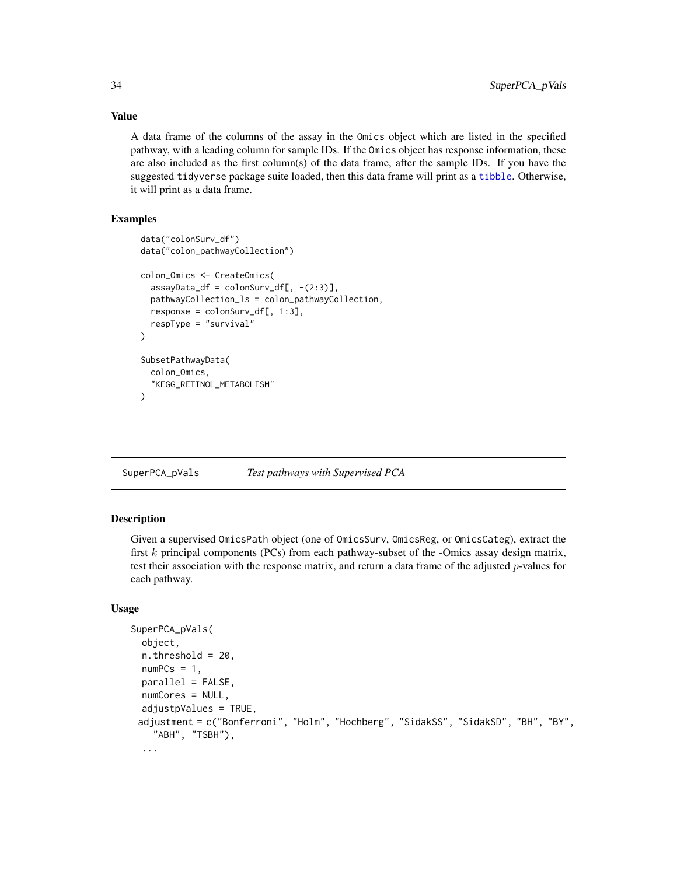A data frame of the columns of the assay in the Omics object which are listed in the specified pathway, with a leading column for sample IDs. If the Omics object has response information, these are also included as the first column(s) of the data frame, after the sample IDs. If you have the suggested tidyverse package suite loaded, then this data frame will print as a [tibble](#page-0-0). Otherwise, it will print as a data frame.

### Examples

```
data("colonSurv_df")
data("colon_pathwayCollection")
colon_Omics <- CreateOmics(
  assayData_df = colonSurv_df[, -(2:3)],pathwayCollection_ls = colon_pathwayCollection,
  response = colonSurv_df[, 1:3],respType = "survival"
\lambdaSubsetPathwayData(
  colon_Omics,
  "KEGG_RETINOL_METABOLISM"
)
```
<span id="page-33-1"></span>SuperPCA\_pVals *Test pathways with Supervised PCA*

### Description

Given a supervised OmicsPath object (one of OmicsSurv, OmicsReg, or OmicsCateg), extract the first  $k$  principal components (PCs) from each pathway-subset of the -Omics assay design matrix, test their association with the response matrix, and return a data frame of the adjusted  $p$ -values for each pathway.

### Usage

```
SuperPCA_pVals(
  object,
  n. threshold = 20,
  numPCs = 1,
  parallel = FALSE,
 numCores = NULL,
  adjustpValues = TRUE,
 adjustment = c("Bonferroni", "Holm", "Hochberg", "SidakSS", "SidakSD", "BH", "BY",
    "ABH", "TSBH"),
  ...
```
<span id="page-33-0"></span>

### Value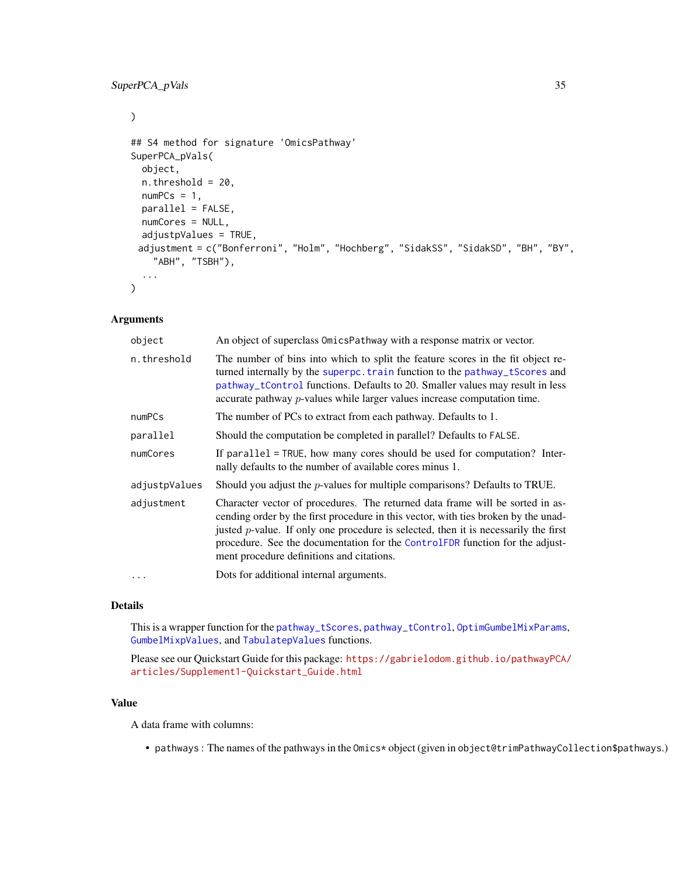### <span id="page-34-0"></span>SuperPCA\_pVals 35

 $\mathcal{L}$ 

```
## S4 method for signature 'OmicsPathway'
SuperPCA_pVals(
  object,
 n.threshold = 20,
 numPCs = 1,
 parallel = FALSE,
  numCores = NULL,
  adjustpValues = TRUE,
 adjustment = c("Bonferroni", "Holm", "Hochberg", "SidakSS", "SidakSD", "BH", "BY",
    "ABH", "TSBH"),
  ...
)
```
### Arguments

| object        | An object of superclass OmicsPathway with a response matrix or vector.                                                                                                                                                                                                                                                                                                                     |
|---------------|--------------------------------------------------------------------------------------------------------------------------------------------------------------------------------------------------------------------------------------------------------------------------------------------------------------------------------------------------------------------------------------------|
| n.threshold   | The number of bins into which to split the feature scores in the fit object re-<br>turned internally by the superpc. train function to the pathway_tScores and<br>pathway_tControl functions. Defaults to 20. Smaller values may result in less<br>accurate pathway <i>p</i> -values while larger values increase computation time.                                                        |
| numPCs        | The number of PCs to extract from each pathway. Defaults to 1.                                                                                                                                                                                                                                                                                                                             |
| parallel      | Should the computation be completed in parallel? Defaults to FALSE.                                                                                                                                                                                                                                                                                                                        |
| numCores      | If parallel = TRUE, how many cores should be used for computation? Inter-<br>nally defaults to the number of available cores minus 1.                                                                                                                                                                                                                                                      |
| adjustpValues | Should you adjust the $p$ -values for multiple comparisons? Defaults to TRUE.                                                                                                                                                                                                                                                                                                              |
| adjustment    | Character vector of procedures. The returned data frame will be sorted in as-<br>cending order by the first procedure in this vector, with ties broken by the unad-<br>justed $p$ -value. If only one procedure is selected, then it is necessarily the first<br>procedure. See the documentation for the ControlFDR function for the adjust-<br>ment procedure definitions and citations. |
| $\cdots$      | Dots for additional internal arguments.                                                                                                                                                                                                                                                                                                                                                    |

### Details

This is a wrapper function for the [pathway\\_tScores](#page-0-0), [pathway\\_tControl](#page-0-0), [OptimGumbelMixParams](#page-0-0), [GumbelMixpValues](#page-0-0), and [TabulatepValues](#page-0-0) functions.

Please see our Quickstart Guide for this package: [https://gabrielodom.github.io/pathwayPCA/](https://gabrielodom.github.io/pathwayPCA/articles/Supplement1-Quickstart_Guide.html) [articles/Supplement1-Quickstart\\_Guide.html](https://gabrielodom.github.io/pathwayPCA/articles/Supplement1-Quickstart_Guide.html)

#### Value

A data frame with columns:

• pathways : The names of the pathways in the Omics\* object (given in object@trimPathwayCollection\$pathways.)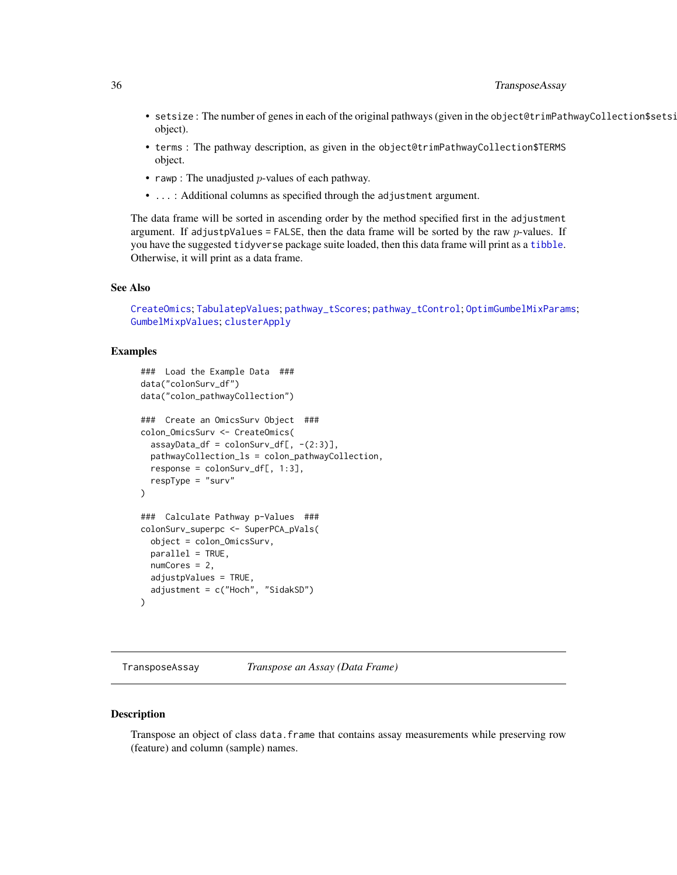- <span id="page-35-0"></span>• setsize: The number of genes in each of the original pathways (given in the object@trimPathwayCollection\$setsi object).
- terms : The pathway description, as given in the object@trimPathwayCollection\$TERMS object.
- rawp : The unadjusted  $p$ -values of each pathway.
- ...: Additional columns as specified through the adjustment argument.

The data frame will be sorted in ascending order by the method specified first in the adjustment argument. If adjustpValues = FALSE, then the data frame will be sorted by the raw  $p$ -values. If you have the suggested tidyverse package suite loaded, then this data frame will print as a [tibble](#page-0-0). Otherwise, it will print as a data frame.

### See Also

[CreateOmics](#page-9-1); [TabulatepValues](#page-0-0); [pathway\\_tScores](#page-0-0); [pathway\\_tControl](#page-0-0); [OptimGumbelMixParams](#page-0-0); [GumbelMixpValues](#page-0-0); [clusterApply](#page-0-0)

### Examples

```
### Load the Example Data ###
data("colonSurv_df")
data("colon_pathwayCollection")
### Create an OmicsSurv Object ###
colon_OmicsSurv <- CreateOmics(
  assayData_df = colonSurv_df[, -(2:3)],pathwayCollection_ls = colon_pathwayCollection,
 response = colonSurv_df[, 1:3],respType = "surv"
)
### Calculate Pathway p-Values ###
colonSurv_superpc <- SuperPCA_pVals(
  object = colon_OmicsSurv,
  parallel = TRUE,
 numCores = 2,
  adjustpValues = TRUE,
  adjustment = c("Hoch", "SidakSD")
)
```
<span id="page-35-1"></span>TransposeAssay *Transpose an Assay (Data Frame)*

#### Description

Transpose an object of class data.frame that contains assay measurements while preserving row (feature) and column (sample) names.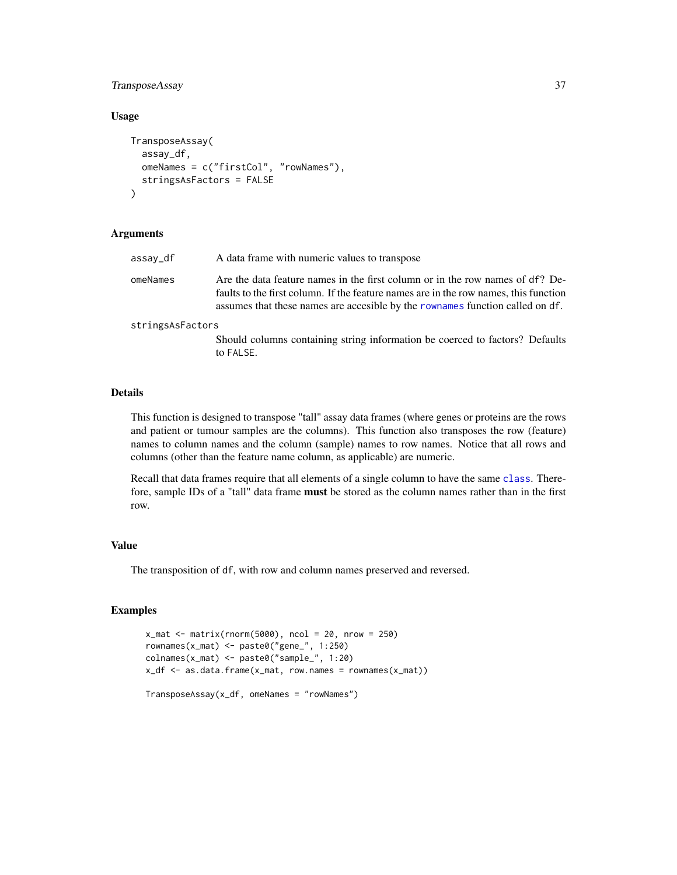### <span id="page-36-0"></span>TransposeAssay 37

### Usage

```
TransposeAssay(
  assay_df,
  omeNames = c("firstCol", "rowNames"),
  stringsAsFactors = FALSE
)
```
### Arguments

| assay_df         | A data frame with numeric values to transpose                                                                                                                                                                                                          |
|------------------|--------------------------------------------------------------------------------------------------------------------------------------------------------------------------------------------------------------------------------------------------------|
| omeNames         | Are the data feature names in the first column or in the row names of df? De-<br>faults to the first column. If the feature names are in the row names, this function<br>assumes that these names are accesible by the rownames function called on df. |
| stringsAsFactors |                                                                                                                                                                                                                                                        |
|                  | Should columns containing string information be coerced to factors? Defaults<br>to FALSE.                                                                                                                                                              |

#### Details

This function is designed to transpose "tall" assay data frames (where genes or proteins are the rows and patient or tumour samples are the columns). This function also transposes the row (feature) names to column names and the column (sample) names to row names. Notice that all rows and columns (other than the feature name column, as applicable) are numeric.

Recall that data frames require that all elements of a single column to have the same [class](#page-0-0). Therefore, sample IDs of a "tall" data frame **must** be stored as the column names rather than in the first row.

### Value

The transposition of df, with row and column names preserved and reversed.

### Examples

```
x_matrix(rnorm(5000), ncol = 20, nrow = 250)rownames(x_mat) <- paste0("gene_", 1:250)
colnames(x_mat) <- paste0("sample_", 1:20)
x_df <- as.data.frame(x_mat, row.names = rownames(x_mat))
```
TransposeAssay(x\_df, omeNames = "rowNames")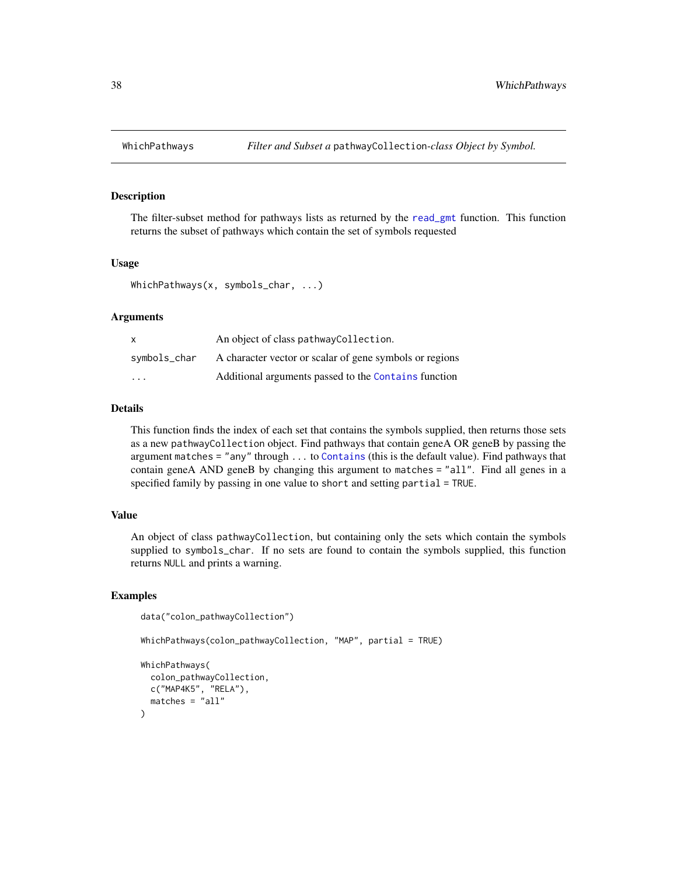<span id="page-37-0"></span>

### Description

The filter-subset method for pathways lists as returned by the [read\\_gmt](#page-24-1) function. This function returns the subset of pathways which contain the set of symbols requested

### Usage

```
WhichPathways(x, symbols_char, ...)
```
### Arguments

| x                       | An object of class pathway Collection.                  |
|-------------------------|---------------------------------------------------------|
| symbols_char            | A character vector or scalar of gene symbols or regions |
| $\cdot$ $\cdot$ $\cdot$ | Additional arguments passed to the Contains function    |

#### Details

This function finds the index of each set that contains the symbols supplied, then returns those sets as a new pathwayCollection object. Find pathways that contain geneA OR geneB by passing the argument matches = "any" through ... to [Contains](#page-8-1) (this is the default value). Find pathways that contain geneA AND geneB by changing this argument to matches = "all". Find all genes in a specified family by passing in one value to short and setting partial = TRUE.

### Value

An object of class pathwayCollection, but containing only the sets which contain the symbols supplied to symbols\_char. If no sets are found to contain the symbols supplied, this function returns NULL and prints a warning.

### Examples

```
data("colon_pathwayCollection")
```
WhichPathways(colon\_pathwayCollection, "MAP", partial = TRUE)

```
WhichPathways(
  colon_pathwayCollection,
  c("MAP4K5", "RELA"),
  matches = "all")
```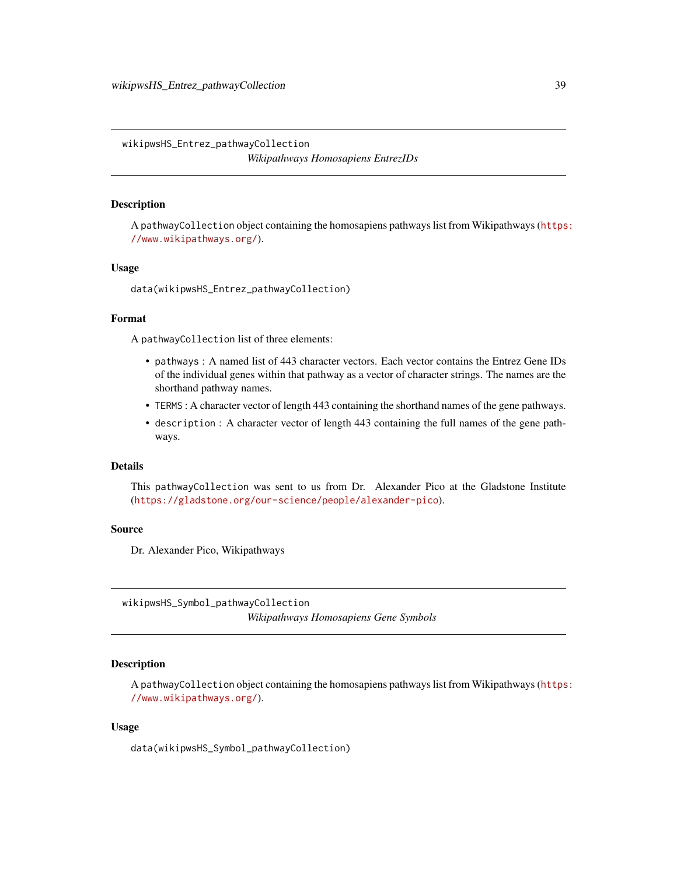<span id="page-38-0"></span>wikipwsHS\_Entrez\_pathwayCollection *Wikipathways Homosapiens EntrezIDs*

### **Description**

A pathwayCollection object containing the homosapiens pathways list from Wikipathways ([https](https://www.wikipathways.org/): [//www.wikipathways.org/](https://www.wikipathways.org/)).

### Usage

data(wikipwsHS\_Entrez\_pathwayCollection)

#### Format

A pathwayCollection list of three elements:

- pathways : A named list of 443 character vectors. Each vector contains the Entrez Gene IDs of the individual genes within that pathway as a vector of character strings. The names are the shorthand pathway names.
- TERMS : A character vector of length 443 containing the shorthand names of the gene pathways.
- description : A character vector of length 443 containing the full names of the gene pathways.

#### Details

This pathwayCollection was sent to us from Dr. Alexander Pico at the Gladstone Institute (<https://gladstone.org/our-science/people/alexander-pico>).

#### Source

Dr. Alexander Pico, Wikipathways

wikipwsHS\_Symbol\_pathwayCollection *Wikipathways Homosapiens Gene Symbols*

### Description

A pathwayCollection object containing the homosapiens pathways list from Wikipathways ([https](https://www.wikipathways.org/): [//www.wikipathways.org/](https://www.wikipathways.org/)).

### Usage

data(wikipwsHS\_Symbol\_pathwayCollection)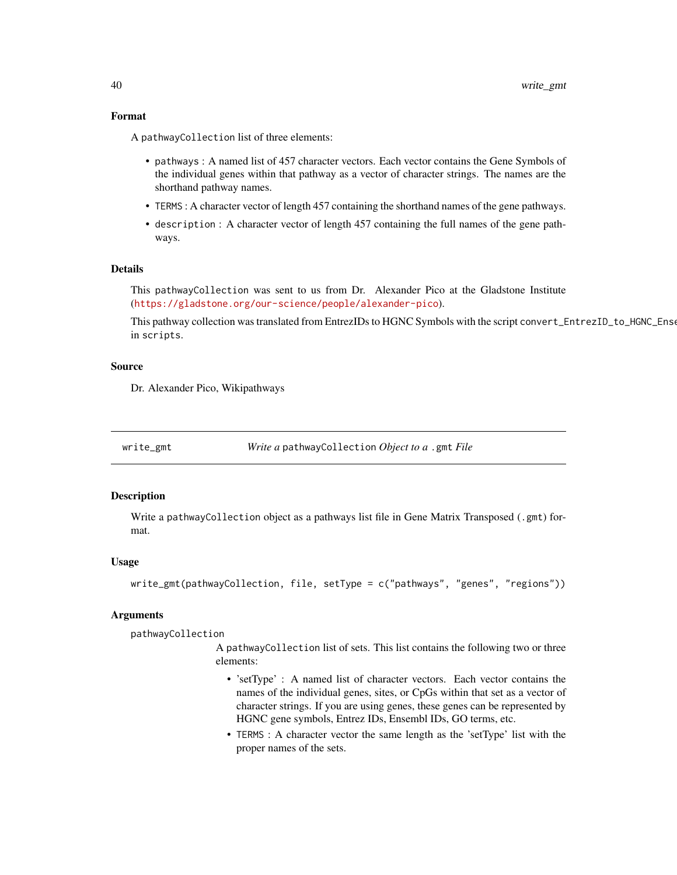### <span id="page-39-0"></span>Format

A pathwayCollection list of three elements:

- pathways : A named list of 457 character vectors. Each vector contains the Gene Symbols of the individual genes within that pathway as a vector of character strings. The names are the shorthand pathway names.
- TERMS : A character vector of length 457 containing the shorthand names of the gene pathways.
- description : A character vector of length 457 containing the full names of the gene pathways.

### Details

This pathwayCollection was sent to us from Dr. Alexander Pico at the Gladstone Institute (<https://gladstone.org/our-science/people/alexander-pico>).

This pathway collection was translated from EntrezIDs to HGNC Symbols with the script convert\_EntrezID\_to\_HGNC\_Ense in scripts.

#### Source

Dr. Alexander Pico, Wikipathways

<span id="page-39-1"></span>

write\_gmt *Write a* pathwayCollection *Object to a* .gmt *File*

### Description

Write a pathwayCollection object as a pathways list file in Gene Matrix Transposed (.gmt) format.

#### Usage

```
write_gmt(pathwayCollection, file, setType = c("pathways", "genes", "regions"))
```
#### Arguments

pathwayCollection

A pathwayCollection list of sets. This list contains the following two or three elements:

- 'setType' : A named list of character vectors. Each vector contains the names of the individual genes, sites, or CpGs within that set as a vector of character strings. If you are using genes, these genes can be represented by HGNC gene symbols, Entrez IDs, Ensembl IDs, GO terms, etc.
- TERMS : A character vector the same length as the 'setType' list with the proper names of the sets.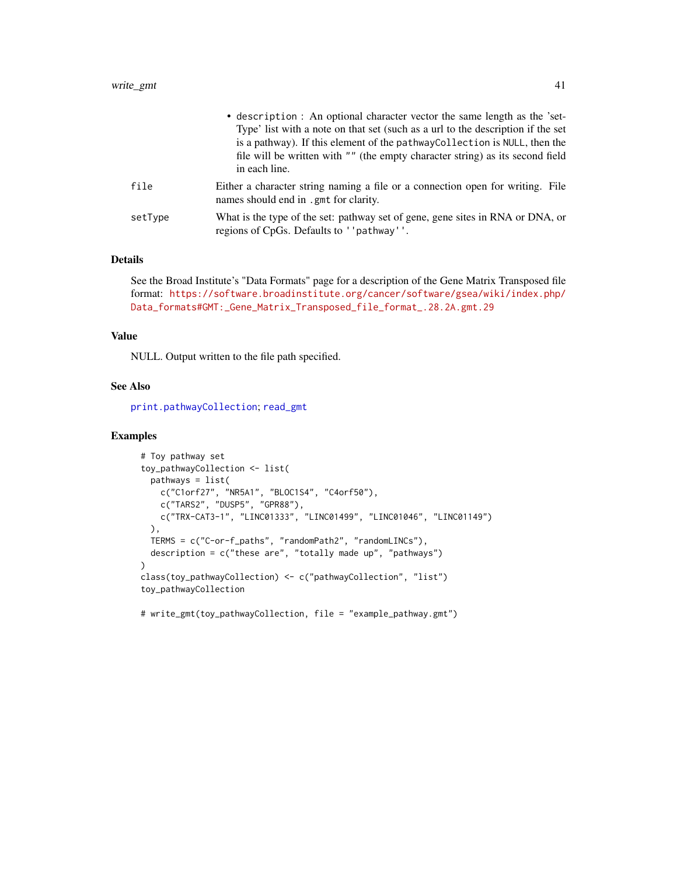<span id="page-40-0"></span>

|         | • description : An optional character vector the same length as the 'set-<br>Type' list with a note on that set (such as a url to the description if the set<br>is a pathway). If this element of the pathway Collection is NULL, then the<br>file will be written with "" (the empty character string) as its second field<br>in each line. |
|---------|----------------------------------------------------------------------------------------------------------------------------------------------------------------------------------------------------------------------------------------------------------------------------------------------------------------------------------------------|
| file    | Either a character string naming a file or a connection open for writing. File<br>names should end in .gmt for clarity.                                                                                                                                                                                                                      |
| setType | What is the type of the set: pathway set of gene, gene sites in RNA or DNA, or<br>regions of CpGs. Defaults to ''pathway''.                                                                                                                                                                                                                  |

#### Details

See the Broad Institute's "Data Formats" page for a description of the Gene Matrix Transposed file format: [https://software.broadinstitute.org/cancer/software/gsea/wiki/index.php/](https://software.broadinstitute.org/cancer/software/gsea/wiki/index.php/Data_formats#GMT:_Gene_Matrix_Transposed_file_format_.28.2A.gmt.29) [Data\\_formats#GMT:\\_Gene\\_Matrix\\_Transposed\\_file\\_format\\_.28.2A.gmt.29](https://software.broadinstitute.org/cancer/software/gsea/wiki/index.php/Data_formats#GMT:_Gene_Matrix_Transposed_file_format_.28.2A.gmt.29)

### Value

NULL. Output written to the file path specified.

### See Also

[print.pathwayCollection](#page-0-0); [read\\_gmt](#page-24-1)

### Examples

```
# Toy pathway set
toy_pathwayCollection <- list(
 pathways = list(
    c("C1orf27", "NR5A1", "BLOC1S4", "C4orf50"),
    c("TARS2", "DUSP5", "GPR88"),
   c("TRX-CAT3-1", "LINC01333", "LINC01499", "LINC01046", "LINC01149")
 ),
  TERMS = c("C-or-f_paths", "randomPath2", "randomLINCs"),
  description = c("these are", "totally made up", "pathways")
)
class(toy_pathwayCollection) <- c("pathwayCollection", "list")
toy_pathwayCollection
```
# write\_gmt(toy\_pathwayCollection, file = "example\_pathway.gmt")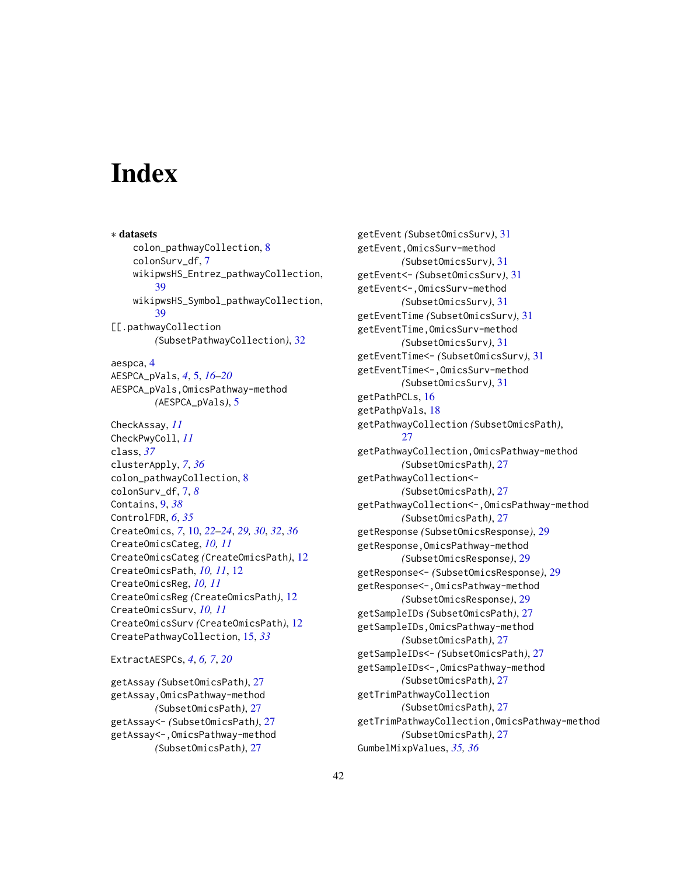# <span id="page-41-0"></span>**Index**

∗ datasets colon\_pathwayCollection, [8](#page-7-0) colonSurv\_df, [7](#page-6-0) wikipwsHS\_Entrez\_pathwayCollection, [39](#page-38-0) wikipwsHS\_Symbol\_pathwayCollection, [39](#page-38-0) [[.pathwayCollection *(*SubsetPathwayCollection*)*, [32](#page-31-0) aespca, [4](#page-3-0) AESPCA\_pVals, *[4](#page-3-0)*, [5,](#page-4-0) *[16–](#page-15-0)[20](#page-19-0)* AESPCA\_pVals,OmicsPathway-method *(*AESPCA\_pVals*)*, [5](#page-4-0) CheckAssay, *[11](#page-10-0)* CheckPwyColl, *[11](#page-10-0)* class, *[37](#page-36-0)* clusterApply, *[7](#page-6-0)*, *[36](#page-35-0)* colon\_pathwayCollection, [8](#page-7-0) colonSurv\_df, [7,](#page-6-0) *[8](#page-7-0)* Contains, [9,](#page-8-0) *[38](#page-37-0)* ControlFDR, *[6](#page-5-0)*, *[35](#page-34-0)* CreateOmics, *[7](#page-6-0)*, [10,](#page-9-0) *[22–](#page-21-0)[24](#page-23-0)*, *[29,](#page-28-0) [30](#page-29-0)*, *[32](#page-31-0)*, *[36](#page-35-0)* CreateOmicsCateg, *[10,](#page-9-0) [11](#page-10-0)* CreateOmicsCateg *(*CreateOmicsPath*)*, [12](#page-11-0) CreateOmicsPath, *[10,](#page-9-0) [11](#page-10-0)*, [12](#page-11-0) CreateOmicsReg, *[10,](#page-9-0) [11](#page-10-0)* CreateOmicsReg *(*CreateOmicsPath*)*, [12](#page-11-0) CreateOmicsSurv, *[10,](#page-9-0) [11](#page-10-0)* CreateOmicsSurv *(*CreateOmicsPath*)*, [12](#page-11-0) CreatePathwayCollection, [15,](#page-14-0) *[33](#page-32-0)*

ExtractAESPCs, *[4](#page-3-0)*, *[6,](#page-5-0) [7](#page-6-0)*, *[20](#page-19-0)*

getAssay *(*SubsetOmicsPath*)*, [27](#page-26-0) getAssay,OmicsPathway-method *(*SubsetOmicsPath*)*, [27](#page-26-0) getAssay<- *(*SubsetOmicsPath*)*, [27](#page-26-0) getAssay<-,OmicsPathway-method *(*SubsetOmicsPath*)*, [27](#page-26-0)

getEvent *(*SubsetOmicsSurv*)*, [31](#page-30-0) getEvent,OmicsSurv-method *(*SubsetOmicsSurv*)*, [31](#page-30-0) getEvent<- *(*SubsetOmicsSurv*)*, [31](#page-30-0) getEvent<-,OmicsSurv-method *(*SubsetOmicsSurv*)*, [31](#page-30-0) getEventTime *(*SubsetOmicsSurv*)*, [31](#page-30-0) getEventTime,OmicsSurv-method *(*SubsetOmicsSurv*)*, [31](#page-30-0) getEventTime<- *(*SubsetOmicsSurv*)*, [31](#page-30-0) getEventTime<-,OmicsSurv-method *(*SubsetOmicsSurv*)*, [31](#page-30-0) getPathPCLs, [16](#page-15-0) getPathpVals, [18](#page-17-0) getPathwayCollection *(*SubsetOmicsPath*)*, [27](#page-26-0) getPathwayCollection,OmicsPathway-method *(*SubsetOmicsPath*)*, [27](#page-26-0) getPathwayCollection<- *(*SubsetOmicsPath*)*, [27](#page-26-0) getPathwayCollection<-,OmicsPathway-method *(*SubsetOmicsPath*)*, [27](#page-26-0) getResponse *(*SubsetOmicsResponse*)*, [29](#page-28-0) getResponse,OmicsPathway-method *(*SubsetOmicsResponse*)*, [29](#page-28-0) getResponse<- *(*SubsetOmicsResponse*)*, [29](#page-28-0) getResponse<-,OmicsPathway-method *(*SubsetOmicsResponse*)*, [29](#page-28-0) getSampleIDs *(*SubsetOmicsPath*)*, [27](#page-26-0) getSampleIDs,OmicsPathway-method *(*SubsetOmicsPath*)*, [27](#page-26-0) getSampleIDs<- *(*SubsetOmicsPath*)*, [27](#page-26-0) getSampleIDs<-,OmicsPathway-method *(*SubsetOmicsPath*)*, [27](#page-26-0) getTrimPathwayCollection *(*SubsetOmicsPath*)*, [27](#page-26-0) getTrimPathwayCollection,OmicsPathway-method *(*SubsetOmicsPath*)*, [27](#page-26-0) GumbelMixpValues, *[35,](#page-34-0) [36](#page-35-0)*